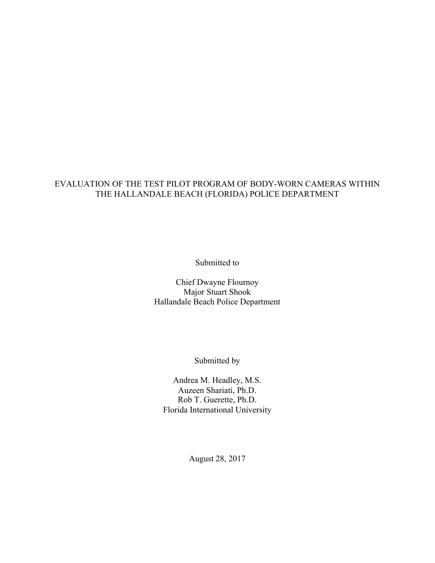#### EVALUATION OF THE TEST PILOT PROGRAM OF BODY-WORN CAMERAS WITHIN THE HALLANDALE BEACH (FLORIDA) POLICE DEPARTMENT

Submitted to

Chief Dwayne Flournoy Major Stuart Shook Hallandale Beach Police Department

Submitted by

Andrea M. Headley, M.S. Auzeen Shariati, Ph.D. Rob T. Guerette, Ph.D. Florida International University

August 28, 2017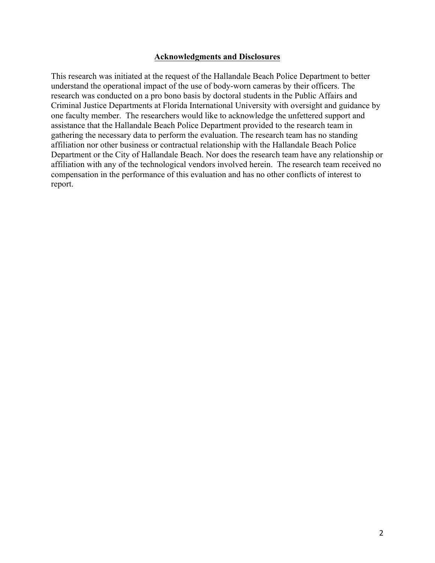#### **Acknowledgments and Disclosures**

This research was initiated at the request of the Hallandale Beach Police Department to better understand the operational impact of the use of body-worn cameras by their officers. The research was conducted on a pro bono basis by doctoral students in the Public Affairs and Criminal Justice Departments at Florida International University with oversight and guidance by one faculty member. The researchers would like to acknowledge the unfettered support and assistance that the Hallandale Beach Police Department provided to the research team in gathering the necessary data to perform the evaluation. The research team has no standing affiliation nor other business or contractual relationship with the Hallandale Beach Police Department or the City of Hallandale Beach. Nor does the research team have any relationship or affiliation with any of the technological vendors involved herein. The research team received no compensation in the performance of this evaluation and has no other conflicts of interest to report.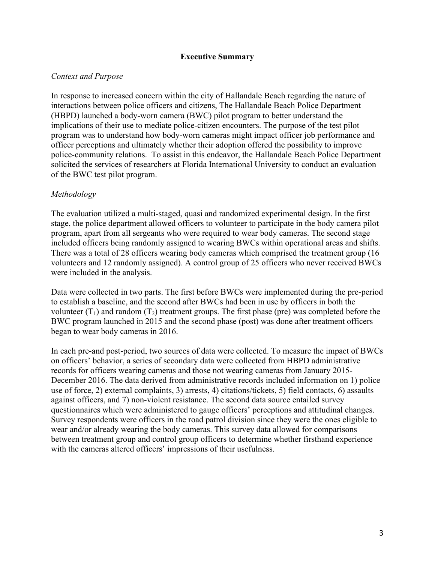#### **Executive Summary**

#### *Context and Purpose*

In response to increased concern within the city of Hallandale Beach regarding the nature of interactions between police officers and citizens, The Hallandale Beach Police Department (HBPD) launched a body-worn camera (BWC) pilot program to better understand the implications of their use to mediate police-citizen encounters. The purpose of the test pilot program was to understand how body-worn cameras might impact officer job performance and officer perceptions and ultimately whether their adoption offered the possibility to improve police-community relations. To assist in this endeavor, the Hallandale Beach Police Department solicited the services of researchers at Florida International University to conduct an evaluation of the BWC test pilot program.

#### *Methodology*

The evaluation utilized a multi-staged, quasi and randomized experimental design. In the first stage, the police department allowed officers to volunteer to participate in the body camera pilot program, apart from all sergeants who were required to wear body cameras. The second stage included officers being randomly assigned to wearing BWCs within operational areas and shifts. There was a total of 28 officers wearing body cameras which comprised the treatment group (16 volunteers and 12 randomly assigned). A control group of 25 officers who never received BWCs were included in the analysis.

Data were collected in two parts. The first before BWCs were implemented during the pre-period to establish a baseline, and the second after BWCs had been in use by officers in both the volunteer  $(T_1)$  and random  $(T_2)$  treatment groups. The first phase (pre) was completed before the BWC program launched in 2015 and the second phase (post) was done after treatment officers began to wear body cameras in 2016.

In each pre-and post-period, two sources of data were collected. To measure the impact of BWCs on officers' behavior, a series of secondary data were collected from HBPD administrative records for officers wearing cameras and those not wearing cameras from January 2015- December 2016. The data derived from administrative records included information on 1) police use of force, 2) external complaints, 3) arrests, 4) citations/tickets, 5) field contacts, 6) assaults against officers, and 7) non-violent resistance. The second data source entailed survey questionnaires which were administered to gauge officers' perceptions and attitudinal changes. Survey respondents were officers in the road patrol division since they were the ones eligible to wear and/or already wearing the body cameras. This survey data allowed for comparisons between treatment group and control group officers to determine whether firsthand experience with the cameras altered officers' impressions of their usefulness.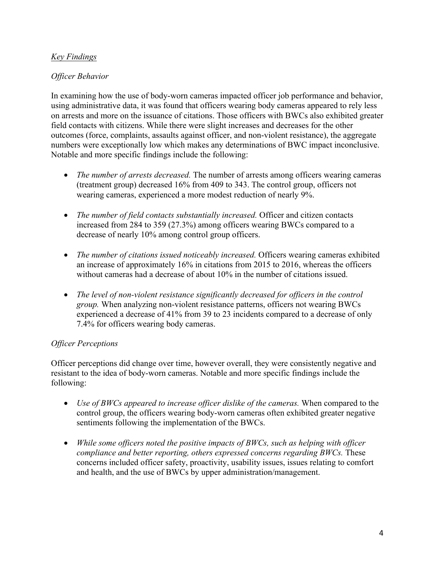## *Key Findings*

#### *Officer Behavior*

In examining how the use of body-worn cameras impacted officer job performance and behavior, using administrative data, it was found that officers wearing body cameras appeared to rely less on arrests and more on the issuance of citations. Those officers with BWCs also exhibited greater field contacts with citizens. While there were slight increases and decreases for the other outcomes (force, complaints, assaults against officer, and non-violent resistance), the aggregate numbers were exceptionally low which makes any determinations of BWC impact inconclusive. Notable and more specific findings include the following:

- *The number of arrests decreased.* The number of arrests among officers wearing cameras (treatment group) decreased 16% from 409 to 343. The control group, officers not wearing cameras, experienced a more modest reduction of nearly 9%.
- *The number of field contacts substantially increased.* Officer and citizen contacts increased from 284 to 359 (27.3%) among officers wearing BWCs compared to a decrease of nearly 10% among control group officers.
- *The number of citations issued noticeably increased.* Officers wearing cameras exhibited an increase of approximately 16% in citations from 2015 to 2016, whereas the officers without cameras had a decrease of about 10% in the number of citations issued.
- *The level of non-violent resistance significantly decreased for officers in the control group.* When analyzing non-violent resistance patterns, officers not wearing BWCs experienced a decrease of 41% from 39 to 23 incidents compared to a decrease of only 7.4% for officers wearing body cameras.

## *Officer Perceptions*

Officer perceptions did change over time, however overall, they were consistently negative and resistant to the idea of body-worn cameras. Notable and more specific findings include the following:

- *Use of BWCs appeared to increase officer dislike of the cameras.* When compared to the control group, the officers wearing body-worn cameras often exhibited greater negative sentiments following the implementation of the BWCs.
- *While some officers noted the positive impacts of BWCs, such as helping with officer compliance and better reporting, others expressed concerns regarding BWCs.* These concerns included officer safety, proactivity, usability issues, issues relating to comfort and health, and the use of BWCs by upper administration/management.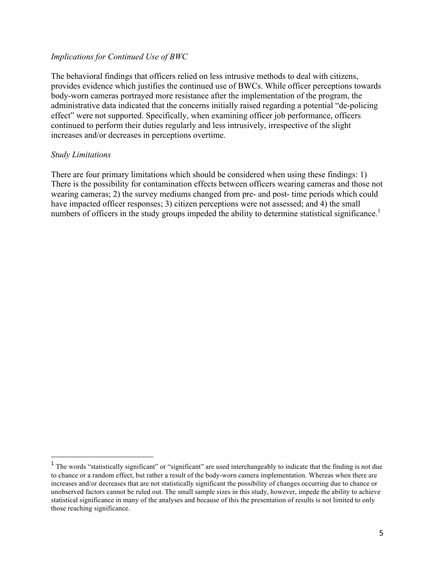#### *Implications for Continued Use of BWC*

The behavioral findings that officers relied on less intrusive methods to deal with citizens, provides evidence which justifies the continued use of BWCs. While officer perceptions towards body-worn cameras portrayed more resistance after the implementation of the program, the administrative data indicated that the concerns initially raised regarding a potential "de-policing effect" were not supported. Specifically, when examining officer job performance, officers continued to perform their duties regularly and less intrusively, irrespective of the slight increases and/or decreases in perceptions overtime.

#### *Study Limitations*

 $\overline{a}$ 

There are four primary limitations which should be considered when using these findings: 1) There is the possibility for contamination effects between officers wearing cameras and those not wearing cameras; 2) the survey mediums changed from pre- and post- time periods which could have impacted officer responses; 3) citizen perceptions were not assessed; and 4) the small numbers of officers in the study groups impeded the ability to determine statistical significance.<sup>1</sup>

 $<sup>1</sup>$  The words "statistically significant" or "significant" are used interchangeably to indicate that the finding is not due</sup> to chance or a random effect, but rather a result of the body-worn camera implementation. Whereas when there are increases and/or decreases that are not statistically significant the possibility of changes occurring due to chance or unobserved factors cannot be ruled out. The small sample sizes in this study, however, impede the ability to achieve statistical significance in many of the analyses and because of this the presentation of results is not limited to only those reaching significance.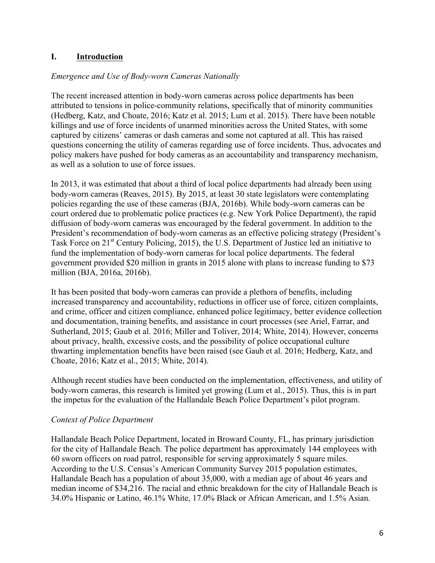## **I. Introduction**

#### *Emergence and Use of Body-worn Cameras Nationally*

The recent increased attention in body-worn cameras across police departments has been attributed to tensions in police-community relations, specifically that of minority communities (Hedberg, Katz, and Choate, 2016; Katz et al. 2015; Lum et al. 2015). There have been notable killings and use of force incidents of unarmed minorities across the United States, with some captured by citizens' cameras or dash cameras and some not captured at all. This has raised questions concerning the utility of cameras regarding use of force incidents. Thus, advocates and policy makers have pushed for body cameras as an accountability and transparency mechanism, as well as a solution to use of force issues.

In 2013, it was estimated that about a third of local police departments had already been using body-worn cameras (Reaves, 2015). By 2015, at least 30 state legislators were contemplating policies regarding the use of these cameras (BJA, 2016b). While body-worn cameras can be court ordered due to problematic police practices (e.g. New York Police Department), the rapid diffusion of body-worn cameras was encouraged by the federal government. In addition to the President's recommendation of body-worn cameras as an effective policing strategy (President's Task Force on 21<sup>st</sup> Century Policing, 2015), the U.S. Department of Justice led an initiative to fund the implementation of body-worn cameras for local police departments. The federal government provided \$20 million in grants in 2015 alone with plans to increase funding to \$73 million (BJA, 2016a, 2016b).

It has been posited that body-worn cameras can provide a plethora of benefits, including increased transparency and accountability, reductions in officer use of force, citizen complaints, and crime, officer and citizen compliance, enhanced police legitimacy, better evidence collection and documentation, training benefits, and assistance in court processes (see Ariel, Farrar, and Sutherland, 2015; Gaub et al. 2016; Miller and Toliver, 2014; White, 2014). However, concerns about privacy, health, excessive costs, and the possibility of police occupational culture thwarting implementation benefits have been raised (see Gaub et al. 2016; Hedberg, Katz, and Choate, 2016; Katz et al., 2015; White, 2014).

Although recent studies have been conducted on the implementation, effectiveness, and utility of body-worn cameras, this research is limited yet growing (Lum et al., 2015). Thus, this is in part the impetus for the evaluation of the Hallandale Beach Police Department's pilot program.

#### *Context of Police Department*

Hallandale Beach Police Department, located in Broward County, FL, has primary jurisdiction for the city of Hallandale Beach. The police department has approximately 144 employees with 60 sworn officers on road patrol, responsible for serving approximately 5 square miles. According to the U.S. Census's American Community Survey 2015 population estimates, Hallandale Beach has a population of about 35,000, with a median age of about 46 years and median income of \$34,216. The racial and ethnic breakdown for the city of Hallandale Beach is 34.0% Hispanic or Latino, 46.1% White, 17.0% Black or African American, and 1.5% Asian.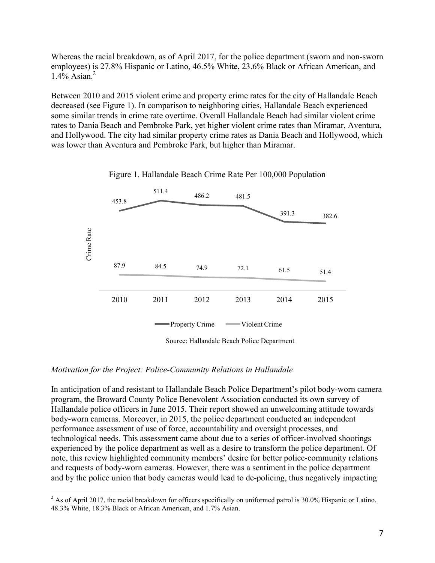Whereas the racial breakdown, as of April 2017, for the police department (sworn and non-sworn employees) is 27.8% Hispanic or Latino, 46.5% White, 23.6% Black or African American, and 1.4% Asian. 2

Between 2010 and 2015 violent crime and property crime rates for the city of Hallandale Beach decreased (see Figure 1). In comparison to neighboring cities, Hallandale Beach experienced some similar trends in crime rate overtime. Overall Hallandale Beach had similar violent crime rates to Dania Beach and Pembroke Park, yet higher violent crime rates than Miramar, Aventura, and Hollywood. The city had similar property crime rates as Dania Beach and Hollywood, which was lower than Aventura and Pembroke Park, but higher than Miramar.





#### *Motivation for the Project: Police-Community Relations in Hallandale*

In anticipation of and resistant to Hallandale Beach Police Department's pilot body-worn camera program, the Broward County Police Benevolent Association conducted its own survey of Hallandale police officers in June 2015. Their report showed an unwelcoming attitude towards body-worn cameras. Moreover, in 2015, the police department conducted an independent performance assessment of use of force, accountability and oversight processes, and technological needs. This assessment came about due to a series of officer-involved shootings experienced by the police department as well as a desire to transform the police department. Of note, this review highlighted community members' desire for better police-community relations and requests of body-worn cameras. However, there was a sentiment in the police department and by the police union that body cameras would lead to de-policing, thus negatively impacting

<sup>&</sup>lt;sup>2</sup> As of April 2017, the racial breakdown for officers specifically on uniformed patrol is 30.0% Hispanic or Latino, 48.3% White, 18.3% Black or African American, and 1.7% Asian.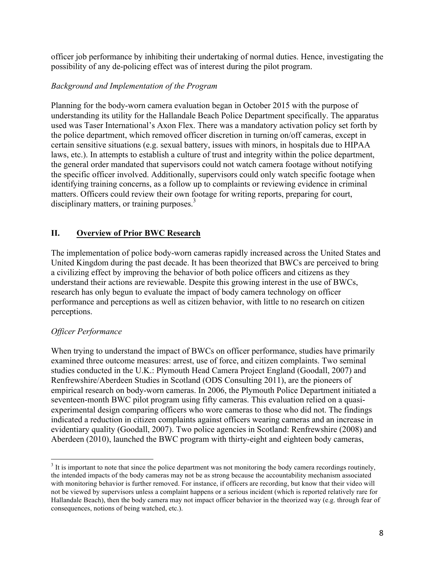officer job performance by inhibiting their undertaking of normal duties. Hence, investigating the possibility of any de-policing effect was of interest during the pilot program.

## *Background and Implementation of the Program*

Planning for the body-worn camera evaluation began in October 2015 with the purpose of understanding its utility for the Hallandale Beach Police Department specifically. The apparatus used was Taser International's Axon Flex. There was a mandatory activation policy set forth by the police department, which removed officer discretion in turning on/off cameras, except in certain sensitive situations (e.g. sexual battery, issues with minors, in hospitals due to HIPAA laws, etc.). In attempts to establish a culture of trust and integrity within the police department, the general order mandated that supervisors could not watch camera footage without notifying the specific officer involved. Additionally, supervisors could only watch specific footage when identifying training concerns, as a follow up to complaints or reviewing evidence in criminal matters. Officers could review their own footage for writing reports, preparing for court, disciplinary matters, or training purposes.<sup>3</sup>

## **II. Overview of Prior BWC Research**

The implementation of police body-worn cameras rapidly increased across the United States and United Kingdom during the past decade. It has been theorized that BWCs are perceived to bring a civilizing effect by improving the behavior of both police officers and citizens as they understand their actions are reviewable. Despite this growing interest in the use of BWCs, research has only begun to evaluate the impact of body camera technology on officer performance and perceptions as well as citizen behavior, with little to no research on citizen perceptions.

## *Officer Performance*

When trying to understand the impact of BWCs on officer performance, studies have primarily examined three outcome measures: arrest, use of force, and citizen complaints. Two seminal studies conducted in the U.K.: Plymouth Head Camera Project England (Goodall, 2007) and Renfrewshire/Aberdeen Studies in Scotland (ODS Consulting 2011), are the pioneers of empirical research on body-worn cameras. In 2006, the Plymouth Police Department initiated a seventeen-month BWC pilot program using fifty cameras. This evaluation relied on a quasiexperimental design comparing officers who wore cameras to those who did not. The findings indicated a reduction in citizen complaints against officers wearing cameras and an increase in evidentiary quality (Goodall, 2007). Two police agencies in Scotland: Renfrewshire (2008) and Aberdeen (2010), launched the BWC program with thirty-eight and eighteen body cameras,

 $3$  It is important to note that since the police department was not monitoring the body camera recordings routinely. the intended impacts of the body cameras may not be as strong because the accountability mechanism associated with monitoring behavior is further removed. For instance, if officers are recording, but know that their video will not be viewed by supervisors unless a complaint happens or a serious incident (which is reported relatively rare for Hallandale Beach), then the body camera may not impact officer behavior in the theorized way (e.g. through fear of consequences, notions of being watched, etc.).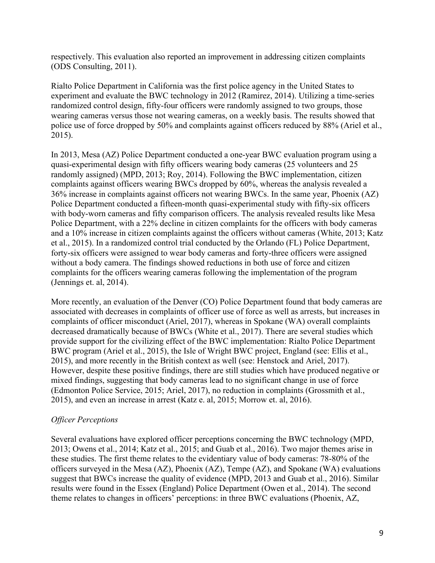respectively. This evaluation also reported an improvement in addressing citizen complaints (ODS Consulting, 2011).

Rialto Police Department in California was the first police agency in the United States to experiment and evaluate the BWC technology in 2012 (Ramirez, 2014). Utilizing a time-series randomized control design, fifty-four officers were randomly assigned to two groups, those wearing cameras versus those not wearing cameras, on a weekly basis. The results showed that police use of force dropped by 50% and complaints against officers reduced by 88% (Ariel et al., 2015).

In 2013, Mesa (AZ) Police Department conducted a one-year BWC evaluation program using a quasi-experimental design with fifty officers wearing body cameras (25 volunteers and 25 randomly assigned) (MPD, 2013; Roy, 2014). Following the BWC implementation, citizen complaints against officers wearing BWCs dropped by 60%, whereas the analysis revealed a 36% increase in complaints against officers not wearing BWCs. In the same year, Phoenix (AZ) Police Department conducted a fifteen-month quasi-experimental study with fifty-six officers with body-worn cameras and fifty comparison officers. The analysis revealed results like Mesa Police Department, with a 22% decline in citizen complaints for the officers with body cameras and a 10% increase in citizen complaints against the officers without cameras (White, 2013; Katz et al., 2015). In a randomized control trial conducted by the Orlando (FL) Police Department, forty-six officers were assigned to wear body cameras and forty-three officers were assigned without a body camera. The findings showed reductions in both use of force and citizen complaints for the officers wearing cameras following the implementation of the program (Jennings et. al, 2014).

More recently, an evaluation of the Denver (CO) Police Department found that body cameras are associated with decreases in complaints of officer use of force as well as arrests, but increases in complaints of officer misconduct (Ariel, 2017), whereas in Spokane (WA) overall complaints decreased dramatically because of BWCs (White et al., 2017). There are several studies which provide support for the civilizing effect of the BWC implementation: Rialto Police Department BWC program (Ariel et al., 2015), the Isle of Wright BWC project, England (see: Ellis et al., 2015), and more recently in the British context as well (see: Henstock and Ariel, 2017). However, despite these positive findings, there are still studies which have produced negative or mixed findings, suggesting that body cameras lead to no significant change in use of force (Edmonton Police Service, 2015; Ariel, 2017), no reduction in complaints (Grossmith et al., 2015), and even an increase in arrest (Katz e. al, 2015; Morrow et. al, 2016).

## *Officer Perceptions*

Several evaluations have explored officer perceptions concerning the BWC technology (MPD, 2013; Owens et al., 2014; Katz et al., 2015; and Guab et al., 2016). Two major themes arise in these studies. The first theme relates to the evidentiary value of body cameras: 78-80% of the officers surveyed in the Mesa (AZ), Phoenix (AZ), Tempe (AZ), and Spokane (WA) evaluations suggest that BWCs increase the quality of evidence (MPD, 2013 and Guab et al., 2016). Similar results were found in the Essex (England) Police Department (Owen et al., 2014). The second theme relates to changes in officers' perceptions: in three BWC evaluations (Phoenix, AZ,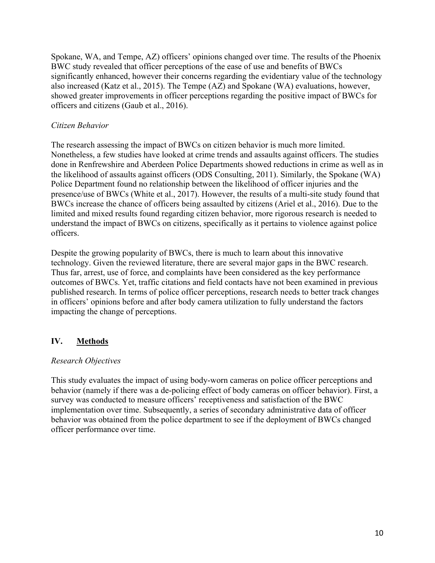Spokane, WA, and Tempe, AZ) officers' opinions changed over time. The results of the Phoenix BWC study revealed that officer perceptions of the ease of use and benefits of BWCs significantly enhanced, however their concerns regarding the evidentiary value of the technology also increased (Katz et al., 2015). The Tempe (AZ) and Spokane (WA) evaluations, however, showed greater improvements in officer perceptions regarding the positive impact of BWCs for officers and citizens (Gaub et al., 2016).

## *Citizen Behavior*

The research assessing the impact of BWCs on citizen behavior is much more limited. Nonetheless, a few studies have looked at crime trends and assaults against officers. The studies done in Renfrewshire and Aberdeen Police Departments showed reductions in crime as well as in the likelihood of assaults against officers (ODS Consulting, 2011). Similarly, the Spokane (WA) Police Department found no relationship between the likelihood of officer injuries and the presence/use of BWCs (White et al., 2017). However, the results of a multi-site study found that BWCs increase the chance of officers being assaulted by citizens (Ariel et al., 2016). Due to the limited and mixed results found regarding citizen behavior, more rigorous research is needed to understand the impact of BWCs on citizens, specifically as it pertains to violence against police officers.

Despite the growing popularity of BWCs, there is much to learn about this innovative technology. Given the reviewed literature, there are several major gaps in the BWC research. Thus far, arrest, use of force, and complaints have been considered as the key performance outcomes of BWCs. Yet, traffic citations and field contacts have not been examined in previous published research. In terms of police officer perceptions, research needs to better track changes in officers' opinions before and after body camera utilization to fully understand the factors impacting the change of perceptions.

## **IV. Methods**

#### *Research Objectives*

This study evaluates the impact of using body-worn cameras on police officer perceptions and behavior (namely if there was a de-policing effect of body cameras on officer behavior). First, a survey was conducted to measure officers' receptiveness and satisfaction of the BWC implementation over time. Subsequently, a series of secondary administrative data of officer behavior was obtained from the police department to see if the deployment of BWCs changed officer performance over time.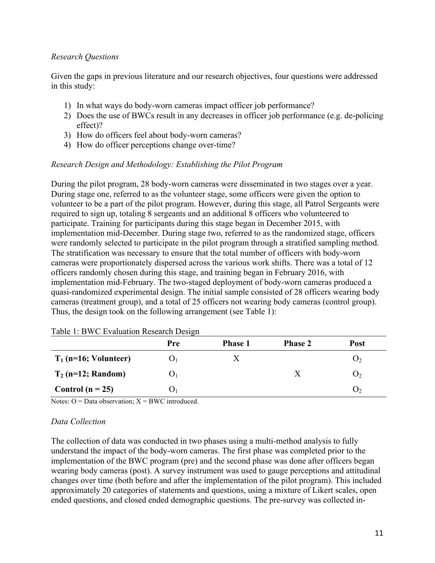#### *Research Questions*

Given the gaps in previous literature and our research objectives, four questions were addressed in this study:

- 1) In what ways do body-worn cameras impact officer job performance?
- 2) Does the use of BWCs result in any decreases in officer job performance (e.g. de-policing effect)?
- 3) How do officers feel about body-worn cameras?
- 4) How do officer perceptions change over-time?

## *Research Design and Methodology: Establishing the Pilot Program*

During the pilot program, 28 body-worn cameras were disseminated in two stages over a year. During stage one, referred to as the volunteer stage, some officers were given the option to volunteer to be a part of the pilot program. However, during this stage, all Patrol Sergeants were required to sign up, totaling 8 sergeants and an additional 8 officers who volunteered to participate. Training for participants during this stage began in December 2015, with implementation mid-December. During stage two, referred to as the randomized stage, officers were randomly selected to participate in the pilot program through a stratified sampling method. The stratification was necessary to ensure that the total number of officers with body-worn cameras were proportionately dispersed across the various work shifts. There was a total of 12 officers randomly chosen during this stage, and training began in February 2016, with implementation mid-February. The two-staged deployment of body-worn cameras produced a quasi-randomized experimental design. The initial sample consisted of 28 officers wearing body cameras (treatment group), and a total of 25 officers not wearing body cameras (control group). Thus, the design took on the following arrangement (see Table 1):

|                         | Pre              | <b>Phase 1</b> | <b>Phase 2</b> | Post           |
|-------------------------|------------------|----------------|----------------|----------------|
| $T_1$ (n=16; Volunteer) | $\mathbf{U}_1$   |                |                | $\mathbf{U}$   |
| $T_2$ (n=12; Random)    | $\mathbf{U}_1$   |                |                | O <sub>2</sub> |
| Control ( $n = 25$ )    | ( ) <sub>1</sub> |                |                | $\mathbf{O}_2$ |

| Table 1: BWC Evaluation Research Design |  |
|-----------------------------------------|--|
|-----------------------------------------|--|

Notes:  $Q = Data observation$ :  $X = BWC$  introduced.

#### *Data Collection*

The collection of data was conducted in two phases using a multi-method analysis to fully understand the impact of the body-worn cameras. The first phase was completed prior to the implementation of the BWC program (pre) and the second phase was done after officers began wearing body cameras (post). A survey instrument was used to gauge perceptions and attitudinal changes over time (both before and after the implementation of the pilot program). This included approximately 20 categories of statements and questions, using a mixture of Likert scales, open ended questions, and closed ended demographic questions. The pre-survey was collected in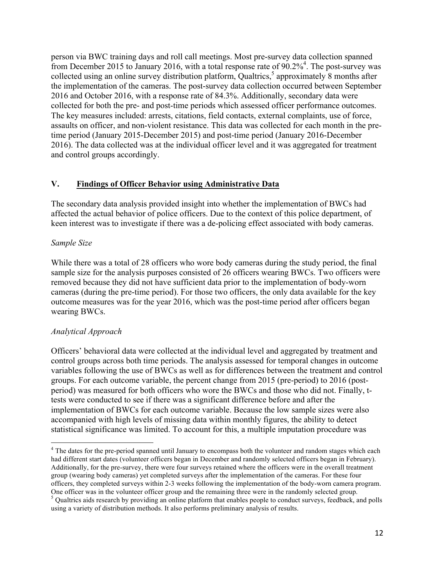person via BWC training days and roll call meetings. Most pre-survey data collection spanned from December 2015 to January 2016, with a total response rate of  $90.2\%$ <sup>4</sup>. The post-survey was collected using an online survey distribution platform, Qualtrics, <sup>5</sup> approximately 8 months after the implementation of the cameras. The post-survey data collection occurred between September 2016 and October 2016, with a response rate of 84.3%. Additionally, secondary data were collected for both the pre- and post-time periods which assessed officer performance outcomes. The key measures included: arrests, citations, field contacts, external complaints, use of force, assaults on officer, and non-violent resistance. This data was collected for each month in the pretime period (January 2015-December 2015) and post-time period (January 2016-December 2016). The data collected was at the individual officer level and it was aggregated for treatment and control groups accordingly.

## **V. Findings of Officer Behavior using Administrative Data**

The secondary data analysis provided insight into whether the implementation of BWCs had affected the actual behavior of police officers. Due to the context of this police department, of keen interest was to investigate if there was a de-policing effect associated with body cameras.

#### *Sample Size*

While there was a total of 28 officers who wore body cameras during the study period, the final sample size for the analysis purposes consisted of 26 officers wearing BWCs. Two officers were removed because they did not have sufficient data prior to the implementation of body-worn cameras (during the pre-time period). For those two officers, the only data available for the key outcome measures was for the year 2016, which was the post-time period after officers began wearing BWCs.

#### *Analytical Approach*

Officers' behavioral data were collected at the individual level and aggregated by treatment and control groups across both time periods. The analysis assessed for temporal changes in outcome variables following the use of BWCs as well as for differences between the treatment and control groups. For each outcome variable, the percent change from 2015 (pre-period) to 2016 (postperiod) was measured for both officers who wore the BWCs and those who did not. Finally, ttests were conducted to see if there was a significant difference before and after the implementation of BWCs for each outcome variable. Because the low sample sizes were also accompanied with high levels of missing data within monthly figures, the ability to detect statistical significance was limited. To account for this, a multiple imputation procedure was

<sup>&</sup>lt;sup>4</sup> The dates for the pre-period spanned until January to encompass both the volunteer and random stages which each had different start dates (volunteer officers began in December and randomly selected officers began in February). Additionally, for the pre-survey, there were four surveys retained where the officers were in the overall treatment group (wearing body cameras) yet completed surveys after the implementation of the cameras. For these four officers, they completed surveys within 2-3 weeks following the implementation of the body-worn camera program. One officer was in the volunteer officer group and the remaining three were in the randomly selected group.

 $<sup>5</sup>$  Qualtrics aids research by providing an online platform that enables people to conduct surveys, feedback, and polls</sup> using a variety of distribution methods. It also performs preliminary analysis of results.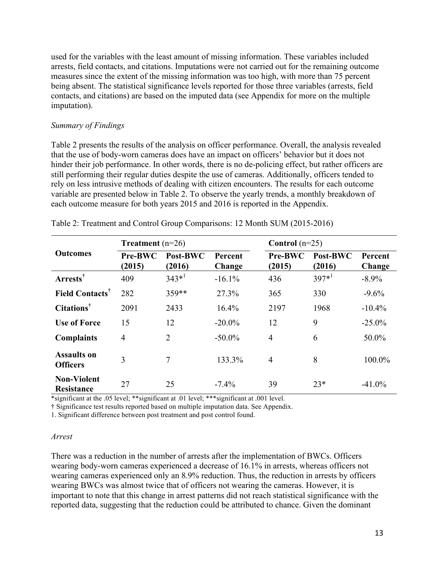used for the variables with the least amount of missing information. These variables included arrests, field contacts, and citations. Imputations were not carried out for the remaining outcome measures since the extent of the missing information was too high, with more than 75 percent being absent. The statistical significance levels reported for those three variables (arrests, field contacts, and citations) are based on the imputed data (see Appendix for more on the multiple imputation).

#### *Summary of Findings*

Table 2 presents the results of the analysis on officer performance. Overall, the analysis revealed that the use of body-worn cameras does have an impact on officers' behavior but it does not hinder their job performance. In other words, there is no de-policing effect, but rather officers are still performing their regular duties despite the use of cameras. Additionally, officers tended to rely on less intrusive methods of dealing with citizen encounters. The results for each outcome variable are presented below in Table 2. To observe the yearly trends, a monthly breakdown of each outcome measure for both years 2015 and 2016 is reported in the Appendix.

|                                         | <b>Treatment</b> $(n=26)$ |                    |                   | Control $(n=25)$  |                    |                   |  |
|-----------------------------------------|---------------------------|--------------------|-------------------|-------------------|--------------------|-------------------|--|
| <b>Outcomes</b>                         | Pre-BWC<br>(2015)         | Post-BWC<br>(2016) | Percent<br>Change | Pre-BWC<br>(2015) | Post-BWC<br>(2016) | Percent<br>Change |  |
| Arrests <sup>†</sup>                    | 409                       | $343*1$            | $-16.1%$          | 436               | $397*1$            | $-8.9\%$          |  |
| <b>Field Contacts</b> <sup>†</sup>      | 282                       | 359**              | 27.3%             | 365               | 330                | $-9.6\%$          |  |
| <b>Citations</b> <sup>†</sup>           | 2091                      | 2433               | 16.4%             | 2197              | 1968               | $-10.4\%$         |  |
| <b>Use of Force</b>                     | 15                        | 12                 | $-20.0\%$         | 12                | 9                  | $-25.0\%$         |  |
| <b>Complaints</b>                       | $\overline{4}$            | $\overline{2}$     | $-50.0\%$         | $\overline{4}$    | 6                  | 50.0%             |  |
| <b>Assaults on</b><br><b>Officers</b>   | 3                         | 7                  | 133.3%            | $\overline{4}$    | 8                  | 100.0%            |  |
| <b>Non-Violent</b><br><b>Resistance</b> | 27                        | 25                 | $-7.4\%$          | 39                | $23*$              | $-41.0\%$         |  |

Table 2: Treatment and Control Group Comparisons: 12 Month SUM (2015-2016)

\*significant at the .05 level; \*\*significant at .01 level; \*\*\*significant at .001 level.

† Significance test results reported based on multiple imputation data. See Appendix.

1. Significant difference between post treatment and post control found.

#### *Arrest*

There was a reduction in the number of arrests after the implementation of BWCs. Officers wearing body-worn cameras experienced a decrease of 16.1% in arrests, whereas officers not wearing cameras experienced only an 8.9% reduction. Thus, the reduction in arrests by officers wearing BWCs was almost twice that of officers not wearing the cameras. However, it is important to note that this change in arrest patterns did not reach statistical significance with the reported data, suggesting that the reduction could be attributed to chance. Given the dominant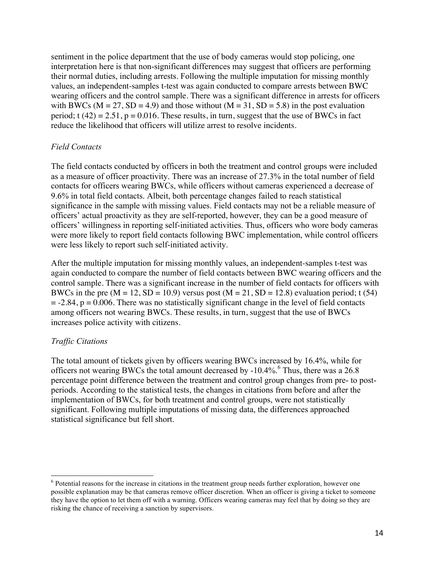sentiment in the police department that the use of body cameras would stop policing, one interpretation here is that non-significant differences may suggest that officers are performing their normal duties, including arrests. Following the multiple imputation for missing monthly values, an independent-samples t-test was again conducted to compare arrests between BWC wearing officers and the control sample. There was a significant difference in arrests for officers with BWCs ( $M = 27$ ,  $SD = 4.9$ ) and those without ( $M = 31$ ,  $SD = 5.8$ ) in the post evaluation period; t  $(42) = 2.51$ ,  $p = 0.016$ . These results, in turn, suggest that the use of BWCs in fact reduce the likelihood that officers will utilize arrest to resolve incidents.

#### *Field Contacts*

The field contacts conducted by officers in both the treatment and control groups were included as a measure of officer proactivity. There was an increase of 27.3% in the total number of field contacts for officers wearing BWCs, while officers without cameras experienced a decrease of 9.6% in total field contacts. Albeit, both percentage changes failed to reach statistical significance in the sample with missing values. Field contacts may not be a reliable measure of officers' actual proactivity as they are self-reported, however, they can be a good measure of officers' willingness in reporting self-initiated activities. Thus, officers who wore body cameras were more likely to report field contacts following BWC implementation, while control officers were less likely to report such self-initiated activity.

After the multiple imputation for missing monthly values, an independent-samples t-test was again conducted to compare the number of field contacts between BWC wearing officers and the control sample. There was a significant increase in the number of field contacts for officers with BWCs in the pre  $(M = 12, SD = 10.9)$  versus post  $(M = 21, SD = 12.8)$  evaluation period; t (54)  $= -2.84$ ,  $p = 0.006$ . There was no statistically significant change in the level of field contacts among officers not wearing BWCs. These results, in turn, suggest that the use of BWCs increases police activity with citizens.

#### *Traffic Citations*

The total amount of tickets given by officers wearing BWCs increased by 16.4%, while for officers not wearing BWCs the total amount decreased by -10.4%. <sup>6</sup> Thus, there was a 26.8 percentage point difference between the treatment and control group changes from pre- to postperiods. According to the statistical tests, the changes in citations from before and after the implementation of BWCs, for both treatment and control groups, were not statistically significant. Following multiple imputations of missing data, the differences approached statistical significance but fell short.

 $6$  Potential reasons for the increase in citations in the treatment group needs further exploration, however one possible explanation may be that cameras remove officer discretion. When an officer is giving a ticket to someone they have the option to let them off with a warning. Officers wearing cameras may feel that by doing so they are risking the chance of receiving a sanction by supervisors.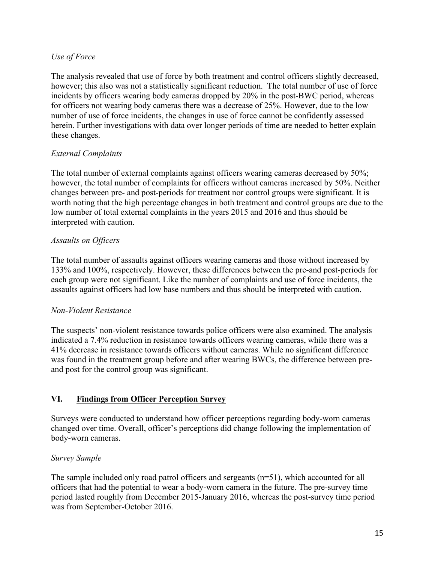#### *Use of Force*

The analysis revealed that use of force by both treatment and control officers slightly decreased, however; this also was not a statistically significant reduction. The total number of use of force incidents by officers wearing body cameras dropped by 20% in the post-BWC period, whereas for officers not wearing body cameras there was a decrease of 25%. However, due to the low number of use of force incidents, the changes in use of force cannot be confidently assessed herein. Further investigations with data over longer periods of time are needed to better explain these changes.

## *External Complaints*

The total number of external complaints against officers wearing cameras decreased by 50%; however, the total number of complaints for officers without cameras increased by 50%. Neither changes between pre- and post-periods for treatment nor control groups were significant. It is worth noting that the high percentage changes in both treatment and control groups are due to the low number of total external complaints in the years 2015 and 2016 and thus should be interpreted with caution.

#### *Assaults on Officers*

The total number of assaults against officers wearing cameras and those without increased by 133% and 100%, respectively. However, these differences between the pre-and post-periods for each group were not significant. Like the number of complaints and use of force incidents, the assaults against officers had low base numbers and thus should be interpreted with caution.

#### *Non-Violent Resistance*

The suspects' non-violent resistance towards police officers were also examined. The analysis indicated a 7.4% reduction in resistance towards officers wearing cameras, while there was a 41% decrease in resistance towards officers without cameras. While no significant difference was found in the treatment group before and after wearing BWCs, the difference between preand post for the control group was significant.

## **VI. Findings from Officer Perception Survey**

Surveys were conducted to understand how officer perceptions regarding body-worn cameras changed over time. Overall, officer's perceptions did change following the implementation of body-worn cameras.

#### *Survey Sample*

The sample included only road patrol officers and sergeants (n=51), which accounted for all officers that had the potential to wear a body-worn camera in the future. The pre-survey time period lasted roughly from December 2015-January 2016, whereas the post-survey time period was from September-October 2016.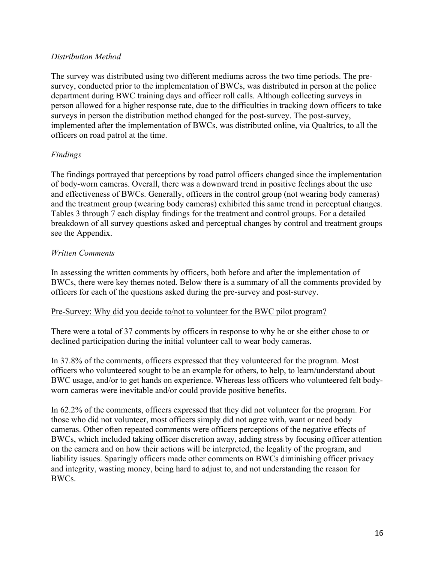#### *Distribution Method*

The survey was distributed using two different mediums across the two time periods. The presurvey, conducted prior to the implementation of BWCs, was distributed in person at the police department during BWC training days and officer roll calls. Although collecting surveys in person allowed for a higher response rate, due to the difficulties in tracking down officers to take surveys in person the distribution method changed for the post-survey. The post-survey, implemented after the implementation of BWCs, was distributed online, via Qualtrics, to all the officers on road patrol at the time.

#### *Findings*

The findings portrayed that perceptions by road patrol officers changed since the implementation of body-worn cameras. Overall, there was a downward trend in positive feelings about the use and effectiveness of BWCs. Generally, officers in the control group (not wearing body cameras) and the treatment group (wearing body cameras) exhibited this same trend in perceptual changes. Tables 3 through 7 each display findings for the treatment and control groups. For a detailed breakdown of all survey questions asked and perceptual changes by control and treatment groups see the Appendix.

#### *Written Comments*

In assessing the written comments by officers, both before and after the implementation of BWCs, there were key themes noted. Below there is a summary of all the comments provided by officers for each of the questions asked during the pre-survey and post-survey.

#### Pre-Survey: Why did you decide to/not to volunteer for the BWC pilot program?

There were a total of 37 comments by officers in response to why he or she either chose to or declined participation during the initial volunteer call to wear body cameras.

In 37.8% of the comments, officers expressed that they volunteered for the program. Most officers who volunteered sought to be an example for others, to help, to learn/understand about BWC usage, and/or to get hands on experience. Whereas less officers who volunteered felt bodyworn cameras were inevitable and/or could provide positive benefits.

In 62.2% of the comments, officers expressed that they did not volunteer for the program. For those who did not volunteer, most officers simply did not agree with, want or need body cameras. Other often repeated comments were officers perceptions of the negative effects of BWCs, which included taking officer discretion away, adding stress by focusing officer attention on the camera and on how their actions will be interpreted, the legality of the program, and liability issues. Sparingly officers made other comments on BWCs diminishing officer privacy and integrity, wasting money, being hard to adjust to, and not understanding the reason for BWCs.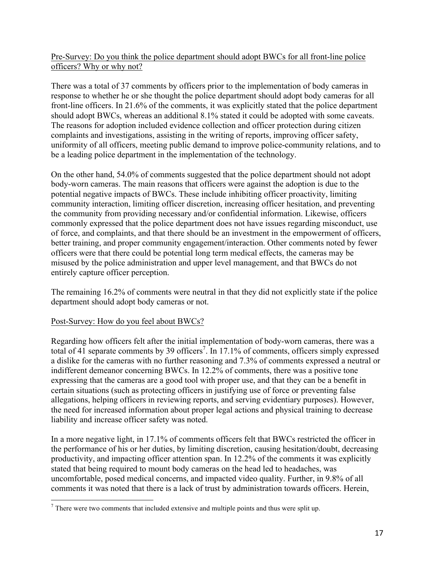## Pre-Survey: Do you think the police department should adopt BWCs for all front-line police officers? Why or why not?

There was a total of 37 comments by officers prior to the implementation of body cameras in response to whether he or she thought the police department should adopt body cameras for all front-line officers. In 21.6% of the comments, it was explicitly stated that the police department should adopt BWCs, whereas an additional 8.1% stated it could be adopted with some caveats. The reasons for adoption included evidence collection and officer protection during citizen complaints and investigations, assisting in the writing of reports, improving officer safety, uniformity of all officers, meeting public demand to improve police-community relations, and to be a leading police department in the implementation of the technology.

On the other hand, 54.0% of comments suggested that the police department should not adopt body-worn cameras. The main reasons that officers were against the adoption is due to the potential negative impacts of BWCs. These include inhibiting officer proactivity, limiting community interaction, limiting officer discretion, increasing officer hesitation, and preventing the community from providing necessary and/or confidential information. Likewise, officers commonly expressed that the police department does not have issues regarding misconduct, use of force, and complaints, and that there should be an investment in the empowerment of officers, better training, and proper community engagement/interaction. Other comments noted by fewer officers were that there could be potential long term medical effects, the cameras may be misused by the police administration and upper level management, and that BWCs do not entirely capture officer perception.

The remaining 16.2% of comments were neutral in that they did not explicitly state if the police department should adopt body cameras or not.

#### Post-Survey: How do you feel about BWCs?

Regarding how officers felt after the initial implementation of body-worn cameras, there was a total of 41 separate comments by 39 officers<sup>7</sup>. In 17.1% of comments, officers simply expressed a dislike for the cameras with no further reasoning and 7.3% of comments expressed a neutral or indifferent demeanor concerning BWCs. In 12.2% of comments, there was a positive tone expressing that the cameras are a good tool with proper use, and that they can be a benefit in certain situations (such as protecting officers in justifying use of force or preventing false allegations, helping officers in reviewing reports, and serving evidentiary purposes). However, the need for increased information about proper legal actions and physical training to decrease liability and increase officer safety was noted.

In a more negative light, in 17.1% of comments officers felt that BWCs restricted the officer in the performance of his or her duties, by limiting discretion, causing hesitation/doubt, decreasing productivity, and impacting officer attention span. In 12.2% of the comments it was explicitly stated that being required to mount body cameras on the head led to headaches, was uncomfortable, posed medical concerns, and impacted video quality. Further, in 9.8% of all comments it was noted that there is a lack of trust by administration towards officers. Herein,

 $<sup>7</sup>$  There were two comments that included extensive and multiple points and thus were split up.</sup>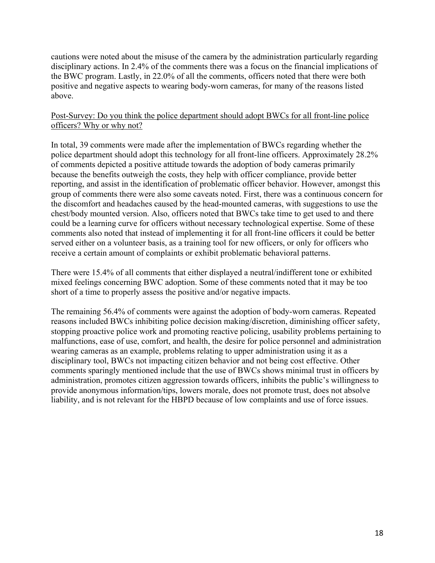cautions were noted about the misuse of the camera by the administration particularly regarding disciplinary actions. In 2.4% of the comments there was a focus on the financial implications of the BWC program. Lastly, in 22.0% of all the comments, officers noted that there were both positive and negative aspects to wearing body-worn cameras, for many of the reasons listed above.

#### Post-Survey: Do you think the police department should adopt BWCs for all front-line police officers? Why or why not?

In total, 39 comments were made after the implementation of BWCs regarding whether the police department should adopt this technology for all front-line officers. Approximately 28.2% of comments depicted a positive attitude towards the adoption of body cameras primarily because the benefits outweigh the costs, they help with officer compliance, provide better reporting, and assist in the identification of problematic officer behavior. However, amongst this group of comments there were also some caveats noted. First, there was a continuous concern for the discomfort and headaches caused by the head-mounted cameras, with suggestions to use the chest/body mounted version. Also, officers noted that BWCs take time to get used to and there could be a learning curve for officers without necessary technological expertise. Some of these comments also noted that instead of implementing it for all front-line officers it could be better served either on a volunteer basis, as a training tool for new officers, or only for officers who receive a certain amount of complaints or exhibit problematic behavioral patterns.

There were 15.4% of all comments that either displayed a neutral/indifferent tone or exhibited mixed feelings concerning BWC adoption. Some of these comments noted that it may be too short of a time to properly assess the positive and/or negative impacts.

The remaining 56.4% of comments were against the adoption of body-worn cameras. Repeated reasons included BWCs inhibiting police decision making/discretion, diminishing officer safety, stopping proactive police work and promoting reactive policing, usability problems pertaining to malfunctions, ease of use, comfort, and health, the desire for police personnel and administration wearing cameras as an example, problems relating to upper administration using it as a disciplinary tool, BWCs not impacting citizen behavior and not being cost effective. Other comments sparingly mentioned include that the use of BWCs shows minimal trust in officers by administration, promotes citizen aggression towards officers, inhibits the public's willingness to provide anonymous information/tips, lowers morale, does not promote trust, does not absolve liability, and is not relevant for the HBPD because of low complaints and use of force issues.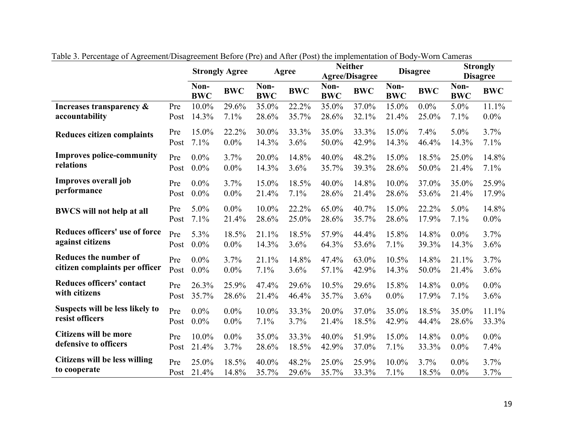|                                   |      |                    | <b>Strongly Agree</b> |                    | Agree      |                    | <b>Neither</b><br><b>Agree/Disagree</b> |                    | <b>Disagree</b> |                    | <b>Strongly</b><br><b>Disagree</b> |
|-----------------------------------|------|--------------------|-----------------------|--------------------|------------|--------------------|-----------------------------------------|--------------------|-----------------|--------------------|------------------------------------|
|                                   |      | Non-<br><b>BWC</b> | <b>BWC</b>            | Non-<br><b>BWC</b> | <b>BWC</b> | Non-<br><b>BWC</b> | <b>BWC</b>                              | Non-<br><b>BWC</b> | <b>BWC</b>      | Non-<br><b>BWC</b> | <b>BWC</b>                         |
| Increases transparency &          | Pre  | 10.0%              | 29.6%                 | 35.0%              | 22.2%      | 35.0%              | 37.0%                                   | 15.0%              | $0.0\%$         | 5.0%               | 11.1%                              |
| accountability                    | Post | 14.3%              | 7.1%                  | 28.6%              | 35.7%      | 28.6%              | 32.1%                                   | 21.4%              | 25.0%           | 7.1%               | $0.0\%$                            |
| <b>Reduces citizen complaints</b> | Pre  | 15.0%              | 22.2%                 | 30.0%              | 33.3%      | 35.0%              | 33.3%                                   | 15.0%              | 7.4%            | 5.0%               | 3.7%                               |
|                                   | Post | 7.1%               | 0.0%                  | 14.3%              | 3.6%       | 50.0%              | 42.9%                                   | 14.3%              | 46.4%           | 14.3%              | 7.1%                               |
| <b>Improves police-community</b>  | Pre  | $0.0\%$            | 3.7%                  | 20.0%              | 14.8%      | 40.0%              | 48.2%                                   | 15.0%              | 18.5%           | 25.0%              | 14.8%                              |
| relations                         | Post | $0.0\%$            | 0.0%                  | 14.3%              | 3.6%       | 35.7%              | 39.3%                                   | 28.6%              | 50.0%           | 21.4%              | 7.1%                               |
| Improves overall job              | Pre  | $0.0\%$            | 3.7%                  | 15.0%              | 18.5%      | 40.0%              | 14.8%                                   | 10.0%              | 37.0%           | 35.0%              | 25.9%                              |
| performance                       | Post | $0.0\%$            | $0.0\%$               | 21.4%              | 7.1%       | 28.6%              | 21.4%                                   | 28.6%              | 53.6%           | 21.4%              | 17.9%                              |
| <b>BWCS</b> will not help at all  | Pre  | 5.0%               | $0.0\%$               | 10.0%              | 22.2%      | 65.0%              | 40.7%                                   | 15.0%              | 22.2%           | 5.0%               | 14.8%                              |
|                                   | Post | 7.1%               | 21.4%                 | 28.6%              | 25.0%      | 28.6%              | 35.7%                                   | 28.6%              | 17.9%           | 7.1%               | $0.0\%$                            |
| Reduces officers' use of force    | Pre  | 5.3%               | 18.5%                 | 21.1%              | 18.5%      | 57.9%              | 44.4%                                   | 15.8%              | 14.8%           | $0.0\%$            | 3.7%                               |
| against citizens                  | Post | $0.0\%$            | $0.0\%$               | 14.3%              | 3.6%       | 64.3%              | 53.6%                                   | 7.1%               | 39.3%           | 14.3%              | 3.6%                               |
| <b>Reduces the number of</b>      | Pre  | $0.0\%$            | 3.7%                  | 21.1%              | 14.8%      | 47.4%              | 63.0%                                   | 10.5%              | 14.8%           | 21.1%              | 3.7%                               |
| citizen complaints per officer    | Post | $0.0\%$            | 0.0%                  | 7.1%               | 3.6%       | 57.1%              | 42.9%                                   | 14.3%              | 50.0%           | 21.4%              | 3.6%                               |
| Reduces officers' contact         | Pre  | 26.3%              | 25.9%                 | 47.4%              | 29.6%      | 10.5%              | 29.6%                                   | 15.8%              | 14.8%           | $0.0\%$            | $0.0\%$                            |
| with citizens                     | Post | 35.7%              | 28.6%                 | 21.4%              | 46.4%      | 35.7%              | 3.6%                                    | $0.0\%$            | 17.9%           | 7.1%               | 3.6%                               |
| Suspects will be less likely to   | Pre  | $0.0\%$            | $0.0\%$               | 10.0%              | 33.3%      | 20.0%              | 37.0%                                   | 35.0%              | 18.5%           | 35.0%              | 11.1%                              |
| resist officers                   | Post | $0.0\%$            | $0.0\%$               | 7.1%               | 3.7%       | 21.4%              | 18.5%                                   | 42.9%              | 44.4%           | 28.6%              | 33.3%                              |
| <b>Citizens will be more</b>      | Pre  | $10.0\%$           | $0.0\%$               | 35.0%              | 33.3%      | 40.0%              | 51.9%                                   | 15.0%              | 14.8%           | $0.0\%$            | $0.0\%$                            |
| defensive to officers             | Post | 21.4%              | 3.7%                  | 28.6%              | 18.5%      | 42.9%              | 37.0%                                   | 7.1%               | 33.3%           | $0.0\%$            | 7.4%                               |
| Citizens will be less willing     | Pre  | 25.0%              | 18.5%                 | 40.0%              | 48.2%      | 25.0%              | 25.9%                                   | 10.0%              | 3.7%            | $0.0\%$            | 3.7%                               |
| to cooperate                      | Post | 21.4%              | 14.8%                 | 35.7%              | 29.6%      | 35.7%              | 33.3%                                   | 7.1%               | 18.5%           | $0.0\%$            | 3.7%                               |

Table 3. Percentage of Agreement/Disagreement Before (Pre) and After (Post) the implementation of Body-Worn Cameras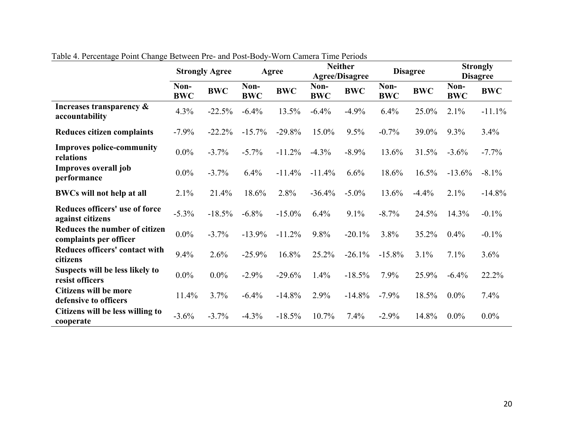|                                                         | <b>Strongly Agree</b> |            | Agree              |            | <b>Neither</b><br><b>Agree/Disagree</b> |            | <b>Disagree</b>    |            | <b>Strongly</b><br><b>Disagree</b> |            |
|---------------------------------------------------------|-----------------------|------------|--------------------|------------|-----------------------------------------|------------|--------------------|------------|------------------------------------|------------|
|                                                         | Non-<br><b>BWC</b>    | <b>BWC</b> | Non-<br><b>BWC</b> | <b>BWC</b> | Non-<br><b>BWC</b>                      | <b>BWC</b> | Non-<br><b>BWC</b> | <b>BWC</b> | Non-<br><b>BWC</b>                 | <b>BWC</b> |
| Increases transparency $\&$<br>accountability           | 4.3%                  | $-22.5%$   | $-6.4%$            | 13.5%      | $-6.4%$                                 | $-4.9%$    | 6.4%               | 25.0%      | 2.1%                               | $-11.1%$   |
| Reduces citizen complaints                              | $-7.9%$               | $-22.2%$   | $-15.7%$           | $-29.8%$   | 15.0%                                   | 9.5%       | $-0.7%$            | 39.0%      | $9.3\%$                            | 3.4%       |
| <b>Improves police-community</b><br>relations           | $0.0\%$               | $-3.7%$    | $-5.7\%$           | $-11.2%$   | $-4.3\%$                                | $-8.9\%$   | 13.6%              | 31.5%      | $-3.6%$                            | $-7.7\%$   |
| Improves overall job<br>performance                     | $0.0\%$               | $-3.7%$    | 6.4%               | $-11.4%$   | $-11.4%$                                | 6.6%       | 18.6%              | 16.5%      | $-13.6%$                           | $-8.1\%$   |
| <b>BWCs will not help at all</b>                        | 2.1%                  | 21.4%      | 18.6%              | 2.8%       | $-36.4%$                                | $-5.0\%$   | 13.6%              | $-4.4%$    | 2.1%                               | $-14.8%$   |
| Reduces officers' use of force<br>against citizens      | $-5.3\%$              | $-18.5%$   | $-6.8\%$           | $-15.0\%$  | 6.4%                                    | 9.1%       | $-8.7\%$           | 24.5%      | 14.3%                              | $-0.1\%$   |
| Reduces the number of citizen<br>complaints per officer | $0.0\%$               | $-3.7%$    | $-13.9%$           | $-11.2%$   | 9.8%                                    | $-20.1%$   | 3.8%               | 35.2%      | 0.4%                               | $-0.1\%$   |
| Reduces officers' contact with<br>citizens              | 9.4%                  | 2.6%       | $-25.9%$           | 16.8%      | 25.2%                                   | $-26.1%$   | $-15.8%$           | 3.1%       | 7.1%                               | 3.6%       |
| Suspects will be less likely to<br>resist officers      | $0.0\%$               | $0.0\%$    | $-2.9%$            | $-29.6%$   | 1.4%                                    | $-18.5%$   | 7.9%               | 25.9%      | $-6.4%$                            | 22.2%      |
| <b>Citizens will be more</b><br>defensive to officers   | 11.4%                 | 3.7%       | $-6.4%$            | $-14.8%$   | 2.9%                                    | $-14.8%$   | $-7.9\%$           | 18.5%      | $0.0\%$                            | 7.4%       |
| Citizens will be less willing to<br>cooperate           | $-3.6\%$              | $-3.7\%$   | $-4.3%$            | $-18.5%$   | 10.7%                                   | 7.4%       | $-2.9\%$           | 14.8%      | $0.0\%$                            | $0.0\%$    |

Table 4. Percentage Point Change Between Pre- and Post-Body-Worn Camera Time Periods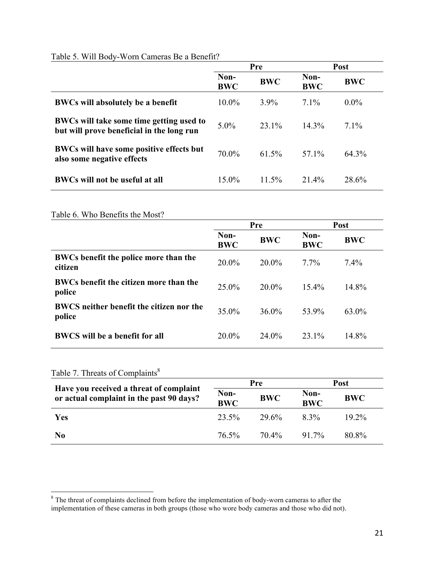# Table 5. Will Body-Worn Cameras Be a Benefit?

|                                                                                       | Pre                |            | Post               |            |
|---------------------------------------------------------------------------------------|--------------------|------------|--------------------|------------|
|                                                                                       | Non-<br><b>BWC</b> | <b>BWC</b> | Non-<br><b>BWC</b> | <b>BWC</b> |
| <b>BWCs will absolutely be a benefit</b>                                              | $10.0\%$           | $3.9\%$    | $7.1\%$            | $0.0\%$    |
| BWCs will take some time getting used to<br>but will prove beneficial in the long run | $5.0\%$            | 23.1%      | $14.3\%$           | $7.1\%$    |
| BWCs will have some positive effects but<br>also some negative effects                | 70.0%              | $61.5\%$   | 57.1%              | 64.3%      |
| <b>BWCs will not be useful at all</b>                                                 | $15.0\%$           | $11.5\%$   | 21.4%              | 28.6%      |

#### Table 6. Who Benefits the Most?

|                                                           | Pre                |            |                    | Post       |
|-----------------------------------------------------------|--------------------|------------|--------------------|------------|
|                                                           | Non-<br><b>BWC</b> | <b>BWC</b> | Non-<br><b>BWC</b> | <b>BWC</b> |
| BWCs benefit the police more than the<br>citizen          | $20.0\%$           | $20.0\%$   | $7.7\%$            | $7.4\%$    |
| BWCs benefit the citizen more than the<br>police          | $25.0\%$           | $20.0\%$   | $15.4\%$           | 14.8%      |
| <b>BWCS</b> neither benefit the citizen nor the<br>police | 35.0%              | $36.0\%$   | 53.9%              | 63.0%      |
| <b>BWCS</b> will be a benefit for all                     | 20.0%              | 24.0%      | 23.1%              | 14.8%      |

# Table 7. Threats of Complaints<sup>8</sup>

|                                                                                     |                    | Pre        | <b>Post</b>        |            |  |
|-------------------------------------------------------------------------------------|--------------------|------------|--------------------|------------|--|
| Have you received a threat of complaint<br>or actual complaint in the past 90 days? | Non-<br><b>BWC</b> | <b>BWC</b> | Non-<br><b>BWC</b> | <b>BWC</b> |  |
| Yes                                                                                 | 23.5%              | 29.6%      | $8.3\%$            | $19.2\%$   |  |
| N <sub>0</sub>                                                                      | 76.5%              | 70.4%      | 91.7%              | 80.8%      |  |

<sup>&</sup>lt;sup>8</sup> The threat of complaints declined from before the implementation of body-worn cameras to after the implementation of these cameras in both groups (those who wore body cameras and those who did not).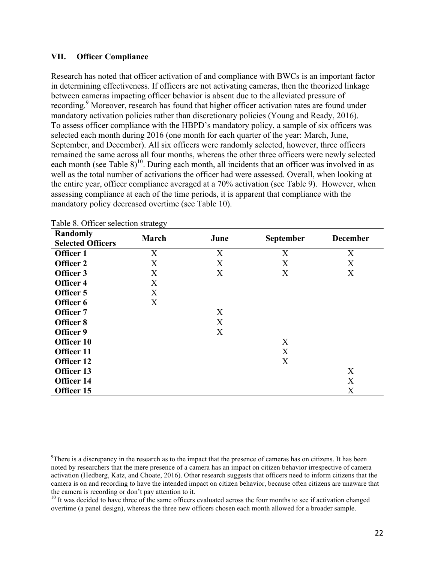#### **VII. Officer Compliance**

Research has noted that officer activation of and compliance with BWCs is an important factor in determining effectiveness. If officers are not activating cameras, then the theorized linkage between cameras impacting officer behavior is absent due to the alleviated pressure of recording.<sup>9</sup> Moreover, research has found that higher officer activation rates are found under mandatory activation policies rather than discretionary policies (Young and Ready, 2016). To assess officer compliance with the HBPD's mandatory policy, a sample of six officers was selected each month during 2016 (one month for each quarter of the year: March, June, September, and December). All six officers were randomly selected, however, three officers remained the same across all four months, whereas the other three officers were newly selected each month (see Table  $8$ )<sup>10</sup>. During each month, all incidents that an officer was involved in as well as the total number of activations the officer had were assessed. Overall, when looking at the entire year, officer compliance averaged at a 70% activation (see Table 9). However, when assessing compliance at each of the time periods, it is apparent that compliance with the mandatory policy decreased overtime (see Table 10).

| Randomly<br><b>Selected Officers</b> | March | June | September | <b>December</b> |
|--------------------------------------|-------|------|-----------|-----------------|
| Officer 1                            | X     | X    | X         | X               |
| Officer 2                            | X     | X    | X         | X               |
| Officer 3                            | X     | X    | X         | X               |
| Officer 4                            | X     |      |           |                 |
| Officer 5                            | X     |      |           |                 |
| Officer 6                            | X     |      |           |                 |
| Officer 7                            |       | X    |           |                 |
| Officer 8                            |       | X    |           |                 |
| Officer 9                            |       | X    |           |                 |
| Officer 10                           |       |      | X         |                 |
| Officer 11                           |       |      | X         |                 |
| Officer 12                           |       |      | X         |                 |
| Officer 13                           |       |      |           | X               |
| Officer 14                           |       |      |           | X               |
| Officer 15                           |       |      |           | X               |

Table 8. Officer selection strategy

<sup>&</sup>lt;sup>-</sup>9 <sup>9</sup>There is a discrepancy in the research as to the impact that the presence of cameras has on citizens. It has been noted by researchers that the mere presence of a camera has an impact on citizen behavior irrespective of camera activation (Hedberg, Katz, and Choate, 2016). Other research suggests that officers need to inform citizens that the camera is on and recording to have the intended impact on citizen behavior, because often citizens are unaware that the camera is recording or don't pay attention to it.

<sup>&</sup>lt;sup>10</sup> It was decided to have three of the same officers evaluated across the four months to see if activation changed overtime (a panel design), whereas the three new officers chosen each month allowed for a broader sample.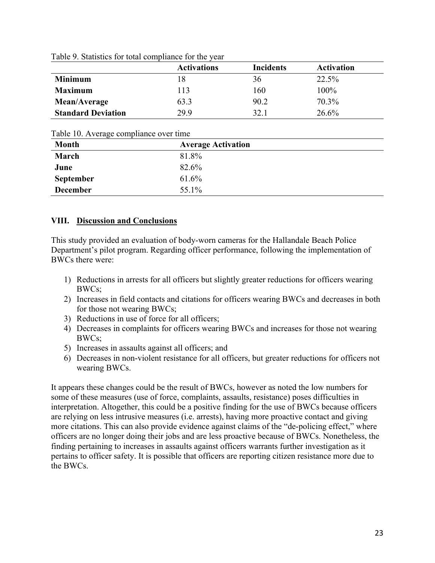|                           | <b>Activations</b> | <b>Incidents</b> | <b>Activation</b> |
|---------------------------|--------------------|------------------|-------------------|
| <b>Minimum</b>            | 18                 | 36               | 22.5%             |
| <b>Maximum</b>            | 113                | 160              | 100%              |
| Mean/Average              | 63.3               | 90.2             | 70.3%             |
| <b>Standard Deviation</b> | 29.9               | 32.1             | 26.6%             |

| Table 9. Statistics for total compliance for the year |
|-------------------------------------------------------|
|-------------------------------------------------------|

Table 10. Average compliance over time

| $\cdots$<br><b>Month</b> | <b>Average Activation</b> |  |
|--------------------------|---------------------------|--|
| March                    | 81.8%                     |  |
| June                     | 82.6%                     |  |
| <b>September</b>         | 61.6%                     |  |
| <b>December</b>          | 55.1%                     |  |
|                          |                           |  |

## **VIII. Discussion and Conclusions**

This study provided an evaluation of body-worn cameras for the Hallandale Beach Police Department's pilot program. Regarding officer performance, following the implementation of BWCs there were:

- 1) Reductions in arrests for all officers but slightly greater reductions for officers wearing BWCs;
- 2) Increases in field contacts and citations for officers wearing BWCs and decreases in both for those not wearing BWCs;
- 3) Reductions in use of force for all officers;
- 4) Decreases in complaints for officers wearing BWCs and increases for those not wearing BWCs;
- 5) Increases in assaults against all officers; and
- 6) Decreases in non-violent resistance for all officers, but greater reductions for officers not wearing BWCs.

It appears these changes could be the result of BWCs, however as noted the low numbers for some of these measures (use of force, complaints, assaults, resistance) poses difficulties in interpretation. Altogether, this could be a positive finding for the use of BWCs because officers are relying on less intrusive measures (i.e. arrests), having more proactive contact and giving more citations. This can also provide evidence against claims of the "de-policing effect," where officers are no longer doing their jobs and are less proactive because of BWCs. Nonetheless, the finding pertaining to increases in assaults against officers warrants further investigation as it pertains to officer safety. It is possible that officers are reporting citizen resistance more due to the BWCs.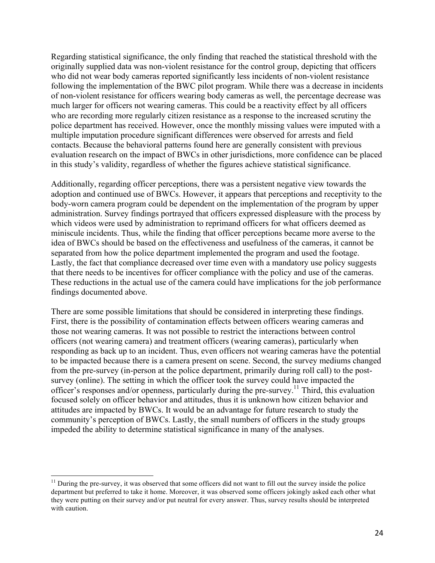Regarding statistical significance, the only finding that reached the statistical threshold with the originally supplied data was non-violent resistance for the control group, depicting that officers who did not wear body cameras reported significantly less incidents of non-violent resistance following the implementation of the BWC pilot program. While there was a decrease in incidents of non-violent resistance for officers wearing body cameras as well, the percentage decrease was much larger for officers not wearing cameras. This could be a reactivity effect by all officers who are recording more regularly citizen resistance as a response to the increased scrutiny the police department has received. However, once the monthly missing values were imputed with a multiple imputation procedure significant differences were observed for arrests and field contacts. Because the behavioral patterns found here are generally consistent with previous evaluation research on the impact of BWCs in other jurisdictions, more confidence can be placed in this study's validity, regardless of whether the figures achieve statistical significance.

Additionally, regarding officer perceptions, there was a persistent negative view towards the adoption and continued use of BWCs. However, it appears that perceptions and receptivity to the body-worn camera program could be dependent on the implementation of the program by upper administration. Survey findings portrayed that officers expressed displeasure with the process by which videos were used by administration to reprimand officers for what officers deemed as miniscule incidents. Thus, while the finding that officer perceptions became more averse to the idea of BWCs should be based on the effectiveness and usefulness of the cameras, it cannot be separated from how the police department implemented the program and used the footage. Lastly, the fact that compliance decreased over time even with a mandatory use policy suggests that there needs to be incentives for officer compliance with the policy and use of the cameras. These reductions in the actual use of the camera could have implications for the job performance findings documented above.

There are some possible limitations that should be considered in interpreting these findings. First, there is the possibility of contamination effects between officers wearing cameras and those not wearing cameras. It was not possible to restrict the interactions between control officers (not wearing camera) and treatment officers (wearing cameras), particularly when responding as back up to an incident. Thus, even officers not wearing cameras have the potential to be impacted because there is a camera present on scene. Second, the survey mediums changed from the pre-survey (in-person at the police department, primarily during roll call) to the postsurvey (online). The setting in which the officer took the survey could have impacted the officer's responses and/or openness, particularly during the pre-survey.<sup>11</sup> Third, this evaluation focused solely on officer behavior and attitudes, thus it is unknown how citizen behavior and attitudes are impacted by BWCs. It would be an advantage for future research to study the community's perception of BWCs. Lastly, the small numbers of officers in the study groups impeded the ability to determine statistical significance in many of the analyses.

 $11$  During the pre-survey, it was observed that some officers did not want to fill out the survey inside the police department but preferred to take it home. Moreover, it was observed some officers jokingly asked each other what they were putting on their survey and/or put neutral for every answer. Thus, survey results should be interpreted with caution.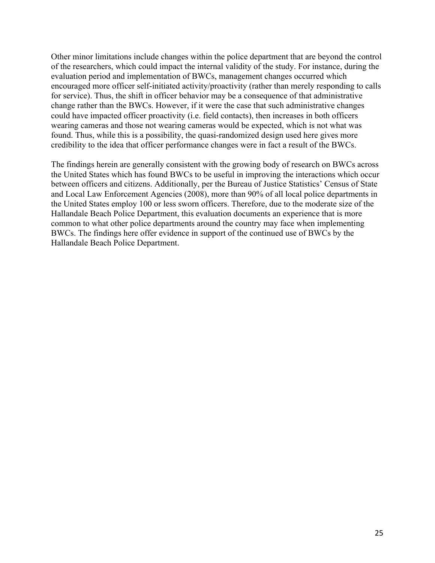Other minor limitations include changes within the police department that are beyond the control of the researchers, which could impact the internal validity of the study. For instance, during the evaluation period and implementation of BWCs, management changes occurred which encouraged more officer self-initiated activity/proactivity (rather than merely responding to calls for service). Thus, the shift in officer behavior may be a consequence of that administrative change rather than the BWCs. However, if it were the case that such administrative changes could have impacted officer proactivity (i.e. field contacts), then increases in both officers wearing cameras and those not wearing cameras would be expected, which is not what was found. Thus, while this is a possibility, the quasi-randomized design used here gives more credibility to the idea that officer performance changes were in fact a result of the BWCs.

The findings herein are generally consistent with the growing body of research on BWCs across the United States which has found BWCs to be useful in improving the interactions which occur between officers and citizens. Additionally, per the Bureau of Justice Statistics' Census of State and Local Law Enforcement Agencies (2008), more than 90% of all local police departments in the United States employ 100 or less sworn officers. Therefore, due to the moderate size of the Hallandale Beach Police Department, this evaluation documents an experience that is more common to what other police departments around the country may face when implementing BWCs. The findings here offer evidence in support of the continued use of BWCs by the Hallandale Beach Police Department.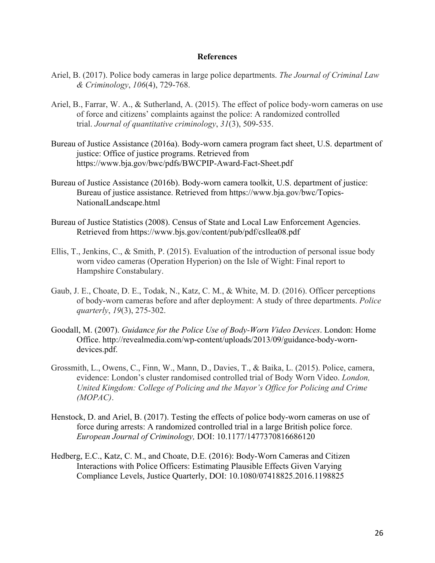#### **References**

- Ariel, B. (2017). Police body cameras in large police departments. *The Journal of Criminal Law & Criminology*, *106*(4), 729-768.
- Ariel, B., Farrar, W. A., & Sutherland, A. (2015). The effect of police body-worn cameras on use of force and citizens' complaints against the police: A randomized controlled trial. *Journal of quantitative criminology*, *31*(3), 509-535.
- Bureau of Justice Assistance (2016a). Body-worn camera program fact sheet, U.S. department of justice: Office of justice programs. Retrieved from https://www.bja.gov/bwc/pdfs/BWCPIP-Award-Fact-Sheet.pdf
- Bureau of Justice Assistance (2016b). Body-worn camera toolkit, U.S. department of justice: Bureau of justice assistance. Retrieved from https://www.bja.gov/bwc/Topics-NationalLandscape.html
- Bureau of Justice Statistics (2008). Census of State and Local Law Enforcement Agencies. Retrieved from https://www.bjs.gov/content/pub/pdf/csllea08.pdf
- Ellis, T., Jenkins, C., & Smith, P. (2015). Evaluation of the introduction of personal issue body worn video cameras (Operation Hyperion) on the Isle of Wight: Final report to Hampshire Constabulary.
- Gaub, J. E., Choate, D. E., Todak, N., Katz, C. M., & White, M. D. (2016). Officer perceptions of body-worn cameras before and after deployment: A study of three departments. *Police quarterly*, *19*(3), 275-302.
- Goodall, M. (2007). *Guidance for the Police Use of Body-Worn Video Devices*. London: Home Office. http://revealmedia.com/wp-content/uploads/2013/09/guidance-body-worndevices.pdf.
- Grossmith, L., Owens, C., Finn, W., Mann, D., Davies, T., & Baika, L. (2015). Police, camera, evidence: London's cluster randomised controlled trial of Body Worn Video. *London, United Kingdom: College of Policing and the Mayor's Office for Policing and Crime (MOPAC)*.
- Henstock, D. and Ariel, B. (2017). Testing the effects of police body-worn cameras on use of force during arrests: A randomized controlled trial in a large British police force. *European Journal of Criminology,* DOI: 10.1177/1477370816686120
- Hedberg, E.C., Katz, C. M., and Choate, D.E. (2016): Body-Worn Cameras and Citizen Interactions with Police Officers: Estimating Plausible Effects Given Varying Compliance Levels, Justice Quarterly, DOI: 10.1080/07418825.2016.1198825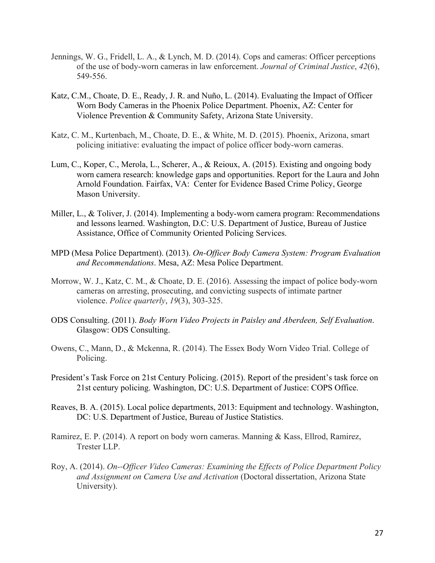- Jennings, W. G., Fridell, L. A., & Lynch, M. D. (2014). Cops and cameras: Officer perceptions of the use of body-worn cameras in law enforcement. *Journal of Criminal Justice*, *42*(6), 549-556.
- Katz, C.M., Choate, D. E., Ready, J. R. and Nuño, L. (2014). Evaluating the Impact of Officer Worn Body Cameras in the Phoenix Police Department. Phoenix, AZ: Center for Violence Prevention & Community Safety, Arizona State University.
- Katz, C. M., Kurtenbach, M., Choate, D. E., & White, M. D. (2015). Phoenix, Arizona, smart policing initiative: evaluating the impact of police officer body-worn cameras.
- Lum, C., Koper, C., Merola, L., Scherer, A., & Reioux, A. (2015). Existing and ongoing body worn camera research: knowledge gaps and opportunities. Report for the Laura and John Arnold Foundation. Fairfax, VA: Center for Evidence Based Crime Policy, George Mason University.
- Miller, L., & Toliver, J. (2014). Implementing a body-worn camera program: Recommendations and lessons learned. Washington, D.C: U.S. Department of Justice, Bureau of Justice Assistance, Office of Community Oriented Policing Services.
- MPD (Mesa Police Department). (2013). *On-Officer Body Camera System: Program Evaluation and Recommendations*. Mesa, AZ: Mesa Police Department.
- Morrow, W. J., Katz, C. M., & Choate, D. E. (2016). Assessing the impact of police body-worn cameras on arresting, prosecuting, and convicting suspects of intimate partner violence. *Police quarterly*, *19*(3), 303-325.
- ODS Consulting. (2011). *Body Worn Video Projects in Paisley and Aberdeen, Self Evaluation*. Glasgow: ODS Consulting.
- Owens, C., Mann, D., & Mckenna, R. (2014). The Essex Body Worn Video Trial. College of Policing.
- President's Task Force on 21st Century Policing. (2015). Report of the president's task force on 21st century policing. Washington, DC: U.S. Department of Justice: COPS Office.
- Reaves, B. A. (2015). Local police departments, 2013: Equipment and technology. Washington, DC: U.S. Department of Justice, Bureau of Justice Statistics.
- Ramirez, E. P. (2014). A report on body worn cameras. Manning & Kass, Ellrod, Ramirez, Trester LLP.
- Roy, A. (2014). *On--Officer Video Cameras: Examining the Effects of Police Department Policy and Assignment on Camera Use and Activation* (Doctoral dissertation, Arizona State University).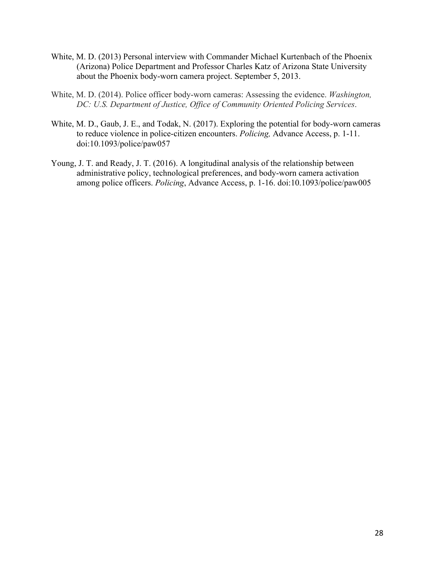- White, M. D. (2013) Personal interview with Commander Michael Kurtenbach of the Phoenix (Arizona) Police Department and Professor Charles Katz of Arizona State University about the Phoenix body-worn camera project. September 5, 2013.
- White, M. D. (2014). Police officer body-worn cameras: Assessing the evidence. *Washington, DC: U.S. Department of Justice, Office of Community Oriented Policing Services*.
- White, M. D., Gaub, J. E., and Todak, N. (2017). Exploring the potential for body-worn cameras to reduce violence in police-citizen encounters. *Policing,* Advance Access, p. 1-11. doi:10.1093/police/paw057
- Young, J. T. and Ready, J. T. (2016). A longitudinal analysis of the relationship between administrative policy, technological preferences, and body-worn camera activation among police officers. *Policing*, Advance Access, p. 1-16. doi:10.1093/police/paw005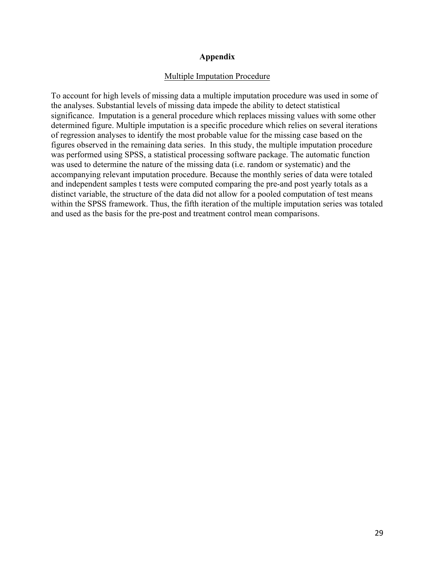#### **Appendix**

#### Multiple Imputation Procedure

To account for high levels of missing data a multiple imputation procedure was used in some of the analyses. Substantial levels of missing data impede the ability to detect statistical significance. Imputation is a general procedure which replaces missing values with some other determined figure. Multiple imputation is a specific procedure which relies on several iterations of regression analyses to identify the most probable value for the missing case based on the figures observed in the remaining data series. In this study, the multiple imputation procedure was performed using SPSS, a statistical processing software package. The automatic function was used to determine the nature of the missing data (i.e. random or systematic) and the accompanying relevant imputation procedure. Because the monthly series of data were totaled and independent samples t tests were computed comparing the pre-and post yearly totals as a distinct variable, the structure of the data did not allow for a pooled computation of test means within the SPSS framework. Thus, the fifth iteration of the multiple imputation series was totaled and used as the basis for the pre-post and treatment control mean comparisons.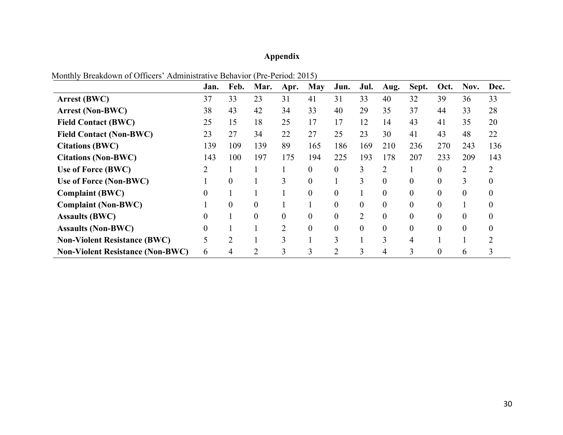# **Appendix**

|                                         | Jan. | Feb.           | Mar.     | Apr.           | <b>May</b> | Jun.           | Jul.           | Aug.           | Sept.    | Oct. | Nov.           | Dec.     |
|-----------------------------------------|------|----------------|----------|----------------|------------|----------------|----------------|----------------|----------|------|----------------|----------|
| <b>Arrest (BWC)</b>                     | 37   | 33             | 23       | 31             | 41         | 31             | 33             | 40             | 32       | 39   | 36             | 33       |
| <b>Arrest (Non-BWC)</b>                 | 38   | 43             | 42       | 34             | 33         | 40             | 29             | 35             | 37       | 44   | 33             | 28       |
| <b>Field Contact (BWC)</b>              | 25   | 15             | 18       | 25             | 17         | 17             | 12             | 14             | 43       | 41   | 35             | 20       |
| <b>Field Contact (Non-BWC)</b>          | 23   | 27             | 34       | 22             | 27         | 25             | 23             | 30             | 41       | 43   | 48             | 22       |
| <b>Citations (BWC)</b>                  | 139  | 109            | 139      | 89             | 165        | 186            | 169            | 210            | 236      | 270  | 243            | 136      |
| <b>Citations (Non-BWC)</b>              | 143  | 100            | 197      | 175            | 194        | 225            | 193            | 178            | 207      | 233  | 209            | 143      |
| Use of Force (BWC)                      | 2    |                |          |                | $\theta$   | 0              | 3              | 2              |          | 0    | $\overline{2}$ | 2        |
| Use of Force (Non-BWC)                  |      | $\theta$       |          | 3              | $\theta$   |                | 3              | $\theta$       | $\theta$ | 0    | 3              | $\theta$ |
| <b>Complaint (BWC)</b>                  | 0    |                |          |                | $\theta$   | 0              |                | 0              | $\theta$ | 0    | $\Omega$       | $\theta$ |
| <b>Complaint (Non-BWC)</b>              |      | $\theta$       | $\theta$ |                |            | 0              | $\theta$       | $\theta$       | $\theta$ | 0    |                |          |
| <b>Assaults (BWC)</b>                   | 0    |                | 0        | 0              | $\theta$   | 0              | $\overline{2}$ | $\overline{0}$ | $\theta$ | 0    | $\Omega$       | $\theta$ |
| <b>Assaults (Non-BWC)</b>               | 0    |                |          | $\overline{2}$ | $\Omega$   | $\theta$       | $\theta$       | $\theta$       | $\theta$ |      |                |          |
| <b>Non-Violent Resistance (BWC)</b>     | 5    | $\overline{2}$ |          | 3              |            | 3              |                | 3              | 4        |      |                |          |
| <b>Non-Violent Resistance (Non-BWC)</b> | 6    | 4              | 2        | 3              | 3          | $\overline{2}$ | 3              | 4              | 3        |      | b              |          |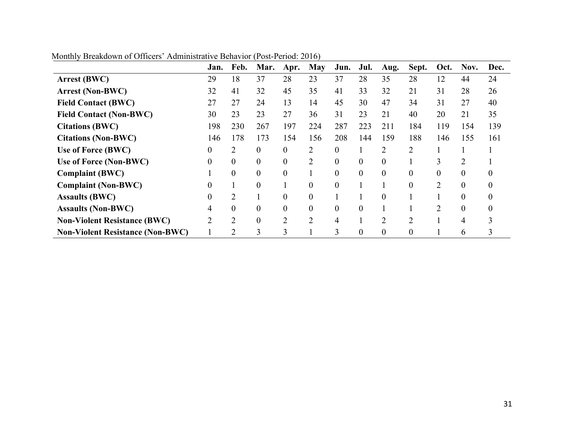|                                         | Jan.     | Feb.           | Mar.               | Apr.             | <b>May</b>     | Jun.           | Jul.           | Aug.           | Sept.            | Oct.           | Nov.     | Dec. |
|-----------------------------------------|----------|----------------|--------------------|------------------|----------------|----------------|----------------|----------------|------------------|----------------|----------|------|
| <b>Arrest (BWC)</b>                     | 29       | 18             | 37                 | 28               | 23             | 37             | 28             | 35             | 28               | 12             | 44       | 24   |
| <b>Arrest (Non-BWC)</b>                 | 32       | 41             | 32                 | 45               | 35             | 41             | 33             | 32             | 21               | 31             | 28       | 26   |
| <b>Field Contact (BWC)</b>              | 27       | 27             | 24                 | 13               | 14             | 45             | 30             | 47             | 34               | 31             | 27       | 40   |
| <b>Field Contact (Non-BWC)</b>          | 30       | 23             | 23                 | 27               | 36             | 31             | 23             | 21             | 40               | 20             | 21       | 35   |
| <b>Citations (BWC)</b>                  | 198      | 230            | 267                | 197              | 224            | 287            | 223            | 211            | 184              | 119            | 154      | 139  |
| <b>Citations (Non-BWC)</b>              | 146      | 178            | 173                | 154              | 156            | 208            | 144            | 159            | 188              | 146            | 155      | 161  |
| Use of Force (BWC)                      | $\theta$ | 2              | $\theta$           | $\overline{0}$   | 2              | $\overline{0}$ |                | 2              | $\overline{2}$   |                |          |      |
| Use of Force (Non-BWC)                  | $\Omega$ | $\theta$       | $\theta$           | $\theta$         | 2              | $\overline{0}$ | $\theta$       | $\overline{0}$ |                  | 3              | 2        |      |
| <b>Complaint (BWC)</b>                  |          | $\theta$       | $\theta$           | $\boldsymbol{0}$ |                | $\overline{0}$ | $\theta$       | $\overline{0}$ | $\overline{0}$   | $\theta$       | $\Omega$ |      |
| <b>Complaint (Non-BWC)</b>              |          |                | $\theta$           |                  | $\Omega$       | $\overline{0}$ |                |                | $\theta$         | $\overline{2}$ | 0        |      |
| <b>Assaults (BWC)</b>                   | $_{0}$   | 2              |                    | $\theta$         | 0              |                |                | $\theta$       |                  |                | $\Omega$ |      |
| <b>Assaults (Non-BWC)</b>               | 4        | $\theta$       | $\theta$           | $\theta$         | $\theta$       | $\overline{0}$ | $\theta$       |                |                  | $\overline{2}$ | $\theta$ | 0    |
| <b>Non-Violent Resistance (BWC)</b>     | 2        | $\overline{2}$ | $\overline{0}$     | $\overline{2}$   | $\overline{2}$ | 4              |                | $\overline{2}$ | $\overline{2}$   |                | 4        |      |
| <b>Non-Violent Resistance (Non-BWC)</b> |          | $\overline{2}$ | ◠<br>$\rightarrow$ | 3                |                | 3              | $\overline{0}$ | $\overline{0}$ | $\boldsymbol{0}$ |                | 6        |      |

Monthly Breakdown of Officers' Administrative Behavior (Post-Period: 2016)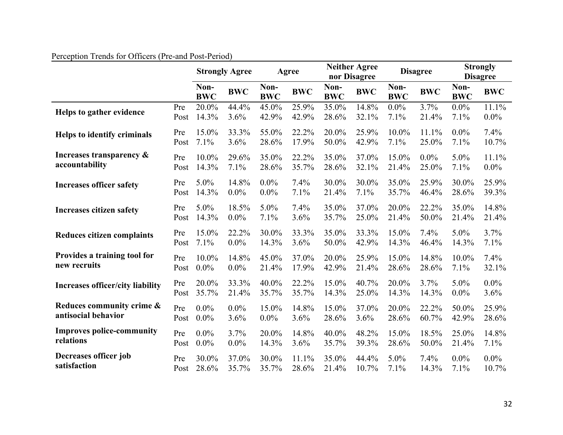|                                         |      | <b>Strongly Agree</b> |            |                    | Agree      |                    | <b>Neither Agree</b><br>nor Disagree | <b>Disagree</b>    |            | <b>Strongly</b><br><b>Disagree</b> |            |
|-----------------------------------------|------|-----------------------|------------|--------------------|------------|--------------------|--------------------------------------|--------------------|------------|------------------------------------|------------|
|                                         |      | Non-<br><b>BWC</b>    | <b>BWC</b> | Non-<br><b>BWC</b> | <b>BWC</b> | Non-<br><b>BWC</b> | <b>BWC</b>                           | Non-<br><b>BWC</b> | <b>BWC</b> | Non-<br><b>BWC</b>                 | <b>BWC</b> |
| Helps to gather evidence                | Pre  | 20.0%                 | 44.4%      | 45.0%              | 25.9%      | 35.0%              | 14.8%                                | $0.0\%$            | 3.7%       | $0.0\%$                            | 11.1%      |
|                                         | Post | 14.3%                 | 3.6%       | 42.9%              | 42.9%      | 28.6%              | 32.1%                                | 7.1%               | 21.4%      | 7.1%                               | $0.0\%$    |
| Helps to identify criminals             | Pre  | 15.0%                 | 33.3%      | 55.0%              | 22.2%      | 20.0%              | 25.9%                                | 10.0%              | 11.1%      | $0.0\%$                            | 7.4%       |
|                                         | Post | 7.1%                  | 3.6%       | 28.6%              | 17.9%      | 50.0%              | 42.9%                                | 7.1%               | 25.0%      | 7.1%                               | 10.7%      |
| Increases transparency &                | Pre  | 10.0%                 | 29.6%      | 35.0%              | 22.2%      | 35.0%              | 37.0%                                | 15.0%              | $0.0\%$    | 5.0%                               | 11.1%      |
| accountability                          | Post | 14.3%                 | 7.1%       | 28.6%              | 35.7%      | 28.6%              | 32.1%                                | 21.4%              | 25.0%      | 7.1%                               | $0.0\%$    |
| <b>Increases officer safety</b>         | Pre  | 5.0%                  | 14.8%      | $0.0\%$            | 7.4%       | 30.0%              | 30.0%                                | 35.0%              | 25.9%      | 30.0%                              | 25.9%      |
|                                         | Post | 14.3%                 | $0.0\%$    | $0.0\%$            | 7.1%       | 21.4%              | 7.1%                                 | 35.7%              | 46.4%      | 28.6%                              | 39.3%      |
| <b>Increases citizen safety</b>         | Pre  | 5.0%                  | 18.5%      | 5.0%               | 7.4%       | 35.0%              | 37.0%                                | 20.0%              | 22.2%      | 35.0%                              | 14.8%      |
|                                         | Post | 14.3%                 | $0.0\%$    | 7.1%               | 3.6%       | 35.7%              | 25.0%                                | 21.4%              | 50.0%      | 21.4%                              | 21.4%      |
| Reduces citizen complaints              | Pre  | 15.0%                 | 22.2%      | 30.0%              | 33.3%      | 35.0%              | 33.3%                                | 15.0%              | 7.4%       | 5.0%                               | 3.7%       |
|                                         | Post | 7.1%                  | $0.0\%$    | 14.3%              | 3.6%       | 50.0%              | 42.9%                                | 14.3%              | 46.4%      | 14.3%                              | 7.1%       |
| Provides a training tool for            | Pre  | 10.0%                 | 14.8%      | 45.0%              | 37.0%      | 20.0%              | 25.9%                                | 15.0%              | 14.8%      | 10.0%                              | 7.4%       |
| new recruits                            | Post | $0.0\%$               | $0.0\%$    | 21.4%              | 17.9%      | 42.9%              | 21.4%                                | 28.6%              | 28.6%      | 7.1%                               | 32.1%      |
| <b>Increases officer/city liability</b> | Pre  | 20.0%                 | 33.3%      | 40.0%              | 22.2%      | 15.0%              | 40.7%                                | 20.0%              | 3.7%       | 5.0%                               | $0.0\%$    |
|                                         | Post | 35.7%                 | 21.4%      | 35.7%              | 35.7%      | 14.3%              | 25.0%                                | 14.3%              | 14.3%      | $0.0\%$                            | 3.6%       |
| Reduces community crime &               | Pre  | $0.0\%$               | $0.0\%$    | 15.0%              | 14.8%      | 15.0%              | 37.0%                                | 20.0%              | 22.2%      | 50.0%                              | 25.9%      |
| antisocial behavior                     | Post | $0.0\%$               | 3.6%       | $0.0\%$            | 3.6%       | 28.6%              | 3.6%                                 | 28.6%              | 60.7%      | 42.9%                              | 28.6%      |
| <b>Improves police-community</b>        | Pre  | $0.0\%$               | 3.7%       | 20.0%              | 14.8%      | 40.0%              | 48.2%                                | 15.0%              | 18.5%      | 25.0%                              | 14.8%      |
| relations                               | Post | $0.0\%$               | $0.0\%$    | 14.3%              | 3.6%       | 35.7%              | 39.3%                                | 28.6%              | 50.0%      | 21.4%                              | 7.1%       |
| Decreases officer job                   | Pre  | 30.0%                 | 37.0%      | 30.0%              | 11.1%      | 35.0%              | 44.4%                                | 5.0%               | 7.4%       | $0.0\%$                            | $0.0\%$    |
| satisfaction                            | Post | 28.6%                 | 35.7%      | 35.7%              | 28.6%      | 21.4%              | 10.7%                                | 7.1%               | 14.3%      | 7.1%                               | 10.7%      |

# Perception Trends for Officers (Pre-and Post-Period)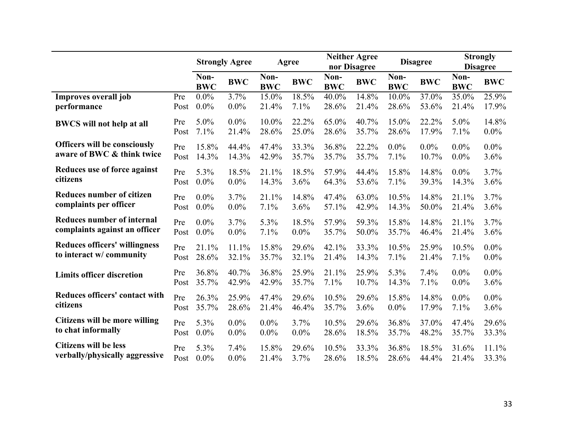|                                      |      | <b>Strongly Agree</b> |            |                    | Agree      |                    | <b>Neither Agree</b><br>nor Disagree |                    | <b>Disagree</b> | <b>Strongly</b><br><b>Disagree</b> |            |
|--------------------------------------|------|-----------------------|------------|--------------------|------------|--------------------|--------------------------------------|--------------------|-----------------|------------------------------------|------------|
|                                      |      | Non-<br><b>BWC</b>    | <b>BWC</b> | Non-<br><b>BWC</b> | <b>BWC</b> | Non-<br><b>BWC</b> | <b>BWC</b>                           | Non-<br><b>BWC</b> | <b>BWC</b>      | Non-<br><b>BWC</b>                 | <b>BWC</b> |
| Improves overall job                 | Pre  | $0.0\%$               | 3.7%       | 15.0%              | 18.5%      | 40.0%              | 14.8%                                | 10.0%              | 37.0%           | 35.0%                              | 25.9%      |
| performance                          | Post | 0.0%                  | $0.0\%$    | 21.4%              | 7.1%       | 28.6%              | 21.4%                                | 28.6%              | 53.6%           | 21.4%                              | 17.9%      |
| <b>BWCS</b> will not help at all     | Pre  | 5.0%                  | $0.0\%$    | 10.0%              | 22.2%      | 65.0%              | 40.7%                                | 15.0%              | 22.2%           | 5.0%                               | 14.8%      |
|                                      | Post | 7.1%                  | 21.4%      | 28.6%              | 25.0%      | 28.6%              | 35.7%                                | 28.6%              | 17.9%           | 7.1%                               | $0.0\%$    |
| <b>Officers will be consciously</b>  | Pre  | 15.8%                 | 44.4%      | 47.4%              | 33.3%      | 36.8%              | 22.2%                                | $0.0\%$            | $0.0\%$         | $0.0\%$                            | $0.0\%$    |
| aware of BWC & think twice           | Post | 14.3%                 | 14.3%      | 42.9%              | 35.7%      | 35.7%              | 35.7%                                | 7.1%               | 10.7%           | $0.0\%$                            | 3.6%       |
| Reduces use of force against         | Pre  | 5.3%                  | 18.5%      | 21.1%              | 18.5%      | 57.9%              | 44.4%                                | 15.8%              | 14.8%           | $0.0\%$                            | 3.7%       |
| citizens                             | Post | $0.0\%$               | $0.0\%$    | 14.3%              | 3.6%       | 64.3%              | 53.6%                                | 7.1%               | 39.3%           | 14.3%                              | 3.6%       |
| <b>Reduces number of citizen</b>     | Pre  | $0.0\%$               | 3.7%       | 21.1%              | 14.8%      | 47.4%              | 63.0%                                | 10.5%              | 14.8%           | 21.1%                              | 3.7%       |
| complaints per officer               | Post | 0.0%                  | $0.0\%$    | 7.1%               | 3.6%       | 57.1%              | 42.9%                                | 14.3%              | 50.0%           | 21.4%                              | 3.6%       |
| <b>Reduces number of internal</b>    | Pre  | $0.0\%$               | 3.7%       | 5.3%               | 18.5%      | 57.9%              | 59.3%                                | 15.8%              | 14.8%           | 21.1%                              | 3.7%       |
| complaints against an officer        | Post | $0.0\%$               | $0.0\%$    | 7.1%               | $0.0\%$    | 35.7%              | 50.0%                                | 35.7%              | 46.4%           | 21.4%                              | 3.6%       |
| <b>Reduces officers' willingness</b> | Pre  | 21.1%                 | 11.1%      | 15.8%              | 29.6%      | 42.1%              | 33.3%                                | 10.5%              | 25.9%           | 10.5%                              | $0.0\%$    |
| to interact w/community              | Post | 28.6%                 | 32.1%      | 35.7%              | 32.1%      | 21.4%              | 14.3%                                | 7.1%               | 21.4%           | 7.1%                               | $0.0\%$    |
| <b>Limits officer discretion</b>     | Pre  | 36.8%                 | 40.7%      | 36.8%              | 25.9%      | 21.1%              | 25.9%                                | 5.3%               | 7.4%            | $0.0\%$                            | $0.0\%$    |
|                                      | Post | 35.7%                 | 42.9%      | 42.9%              | 35.7%      | 7.1%               | 10.7%                                | 14.3%              | 7.1%            | $0.0\%$                            | 3.6%       |
| Reduces officers' contact with       | Pre  | 26.3%                 | 25.9%      | 47.4%              | 29.6%      | 10.5%              | 29.6%                                | 15.8%              | 14.8%           | $0.0\%$                            | $0.0\%$    |
| citizens                             | Post | 35.7%                 | 28.6%      | 21.4%              | 46.4%      | 35.7%              | 3.6%                                 | $0.0\%$            | 17.9%           | 7.1%                               | 3.6%       |
| Citizens will be more willing        | Pre  | 5.3%                  | $0.0\%$    | 0.0%               | 3.7%       | 10.5%              | 29.6%                                | 36.8%              | 37.0%           | 47.4%                              | 29.6%      |
| to chat informally                   | Post | $0.0\%$               | $0.0\%$    | 0.0%               | $0.0\%$    | 28.6%              | 18.5%                                | 35.7%              | 48.2%           | 35.7%                              | 33.3%      |
| <b>Citizens will be less</b>         | Pre  | 5.3%                  | 7.4%       | 15.8%              | 29.6%      | 10.5%              | 33.3%                                | 36.8%              | 18.5%           | 31.6%                              | 11.1%      |
| verbally/physically aggressive       | Post | $0.0\%$               | $0.0\%$    | 21.4%              | 3.7%       | 28.6%              | 18.5%                                | 28.6%              | 44.4%           | 21.4%                              | 33.3%      |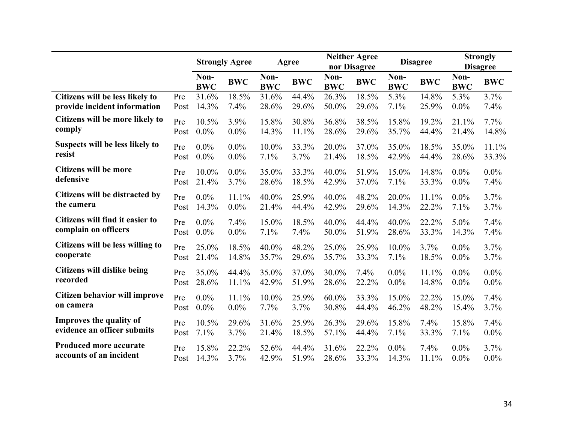|                                  |      | <b>Strongly Agree</b> |            | Agree              |            |                    | <b>Neither Agree</b><br>nor Disagree |                    | <b>Disagree</b> | <b>Strongly</b><br><b>Disagree</b> |                    |
|----------------------------------|------|-----------------------|------------|--------------------|------------|--------------------|--------------------------------------|--------------------|-----------------|------------------------------------|--------------------|
|                                  |      | Non-<br><b>BWC</b>    | <b>BWC</b> | Non-<br><b>BWC</b> | <b>BWC</b> | Non-<br><b>BWC</b> | <b>BWC</b>                           | Non-<br><b>BWC</b> | <b>BWC</b>      | Non-<br><b>BWC</b>                 | <b>BWC</b>         |
| Citizens will be less likely to  | Pre  | 31.6%                 | 18.5%      | 31.6%              | 44.4%      | 26.3%              | 18.5%                                | 5.3%               | 14.8%           | 5.3%                               | $\overline{3.7\%}$ |
| provide incident information     | Post | 14.3%                 | 7.4%       | 28.6%              | 29.6%      | 50.0%              | 29.6%                                | 7.1%               | 25.9%           | $0.0\%$                            | 7.4%               |
| Citizens will be more likely to  | Pre  | 10.5%                 | 3.9%       | 15.8%              | 30.8%      | 36.8%              | 38.5%                                | 15.8%              | 19.2%           | 21.1%                              | 7.7%               |
| comply                           | Post | $0.0\%$               | $0.0\%$    | 14.3%              | 11.1%      | 28.6%              | 29.6%                                | 35.7%              | 44.4%           | 21.4%                              | 14.8%              |
| Suspects will be less likely to  | Pre  | $0.0\%$               | $0.0\%$    | 10.0%              | 33.3%      | 20.0%              | 37.0%                                | 35.0%              | 18.5%           | 35.0%                              | 11.1%              |
| resist                           | Post | $0.0\%$               | $0.0\%$    | 7.1%               | 3.7%       | 21.4%              | 18.5%                                | 42.9%              | 44.4%           | 28.6%                              | 33.3%              |
| <b>Citizens will be more</b>     | Pre  | 10.0%                 | $0.0\%$    | 35.0%              | 33.3%      | 40.0%              | 51.9%                                | 15.0%              | 14.8%           | $0.0\%$                            | $0.0\%$            |
| defensive                        | Post | 21.4%                 | 3.7%       | 28.6%              | 18.5%      | 42.9%              | 37.0%                                | 7.1%               | 33.3%           | $0.0\%$                            | 7.4%               |
| Citizens will be distracted by   | Pre  | $0.0\%$               | 11.1%      | 40.0%              | 25.9%      | 40.0%              | 48.2%                                | 20.0%              | 11.1%           | $0.0\%$                            | 3.7%               |
| the camera                       | Post | 14.3%                 | $0.0\%$    | 21.4%              | 44.4%      | 42.9%              | 29.6%                                | 14.3%              | 22.2%           | 7.1%                               | 3.7%               |
| Citizens will find it easier to  | Pre  | $0.0\%$               | 7.4%       | 15.0%              | 18.5%      | 40.0%              | 44.4%                                | 40.0%              | 22.2%           | 5.0%                               | 7.4%               |
| complain on officers             | Post | $0.0\%$               | $0.0\%$    | 7.1%               | 7.4%       | 50.0%              | 51.9%                                | 28.6%              | 33.3%           | 14.3%                              | 7.4%               |
| Citizens will be less willing to | Pre  | 25.0%                 | 18.5%      | 40.0%              | 48.2%      | 25.0%              | 25.9%                                | 10.0%              | 3.7%            | $0.0\%$                            | 3.7%               |
| cooperate                        | Post | 21.4%                 | 14.8%      | 35.7%              | 29.6%      | 35.7%              | 33.3%                                | 7.1%               | 18.5%           | 0.0%                               | 3.7%               |
| Citizens will dislike being      | Pre  | 35.0%                 | 44.4%      | 35.0%              | 37.0%      | 30.0%              | 7.4%                                 | $0.0\%$            | 11.1%           | $0.0\%$                            | $0.0\%$            |
| recorded                         | Post | 28.6%                 | 11.1%      | 42.9%              | 51.9%      | 28.6%              | 22.2%                                | $0.0\%$            | 14.8%           | $0.0\%$                            | 0.0%               |
| Citizen behavior will improve    | Pre  | $0.0\%$               | 11.1%      | 10.0%              | 25.9%      | $60.0\%$           | 33.3%                                | 15.0%              | 22.2%           | 15.0%                              | 7.4%               |
| on camera                        | Post | $0.0\%$               | $0.0\%$    | 7.7%               | 3.7%       | 30.8%              | 44.4%                                | 46.2%              | 48.2%           | 15.4%                              | 3.7%               |
| <b>Improves the quality of</b>   | Pre  | 10.5%                 | 29.6%      | 31.6%              | 25.9%      | 26.3%              | 29.6%                                | 15.8%              | 7.4%            | 15.8%                              | 7.4%               |
| evidence an officer submits      | Post | 7.1%                  | 3.7%       | 21.4%              | 18.5%      | 57.1%              | 44.4%                                | 7.1%               | 33.3%           | 7.1%                               | 0.0%               |
| Produced more accurate           | Pre  | 15.8%                 | 22.2%      | 52.6%              | 44.4%      | 31.6%              | 22.2%                                | $0.0\%$            | 7.4%            | $0.0\%$                            | 3.7%               |
| accounts of an incident          | Post | 14.3%                 | 3.7%       | 42.9%              | 51.9%      | 28.6%              | 33.3%                                | 14.3%              | 11.1%           | $0.0\%$                            | $0.0\%$            |